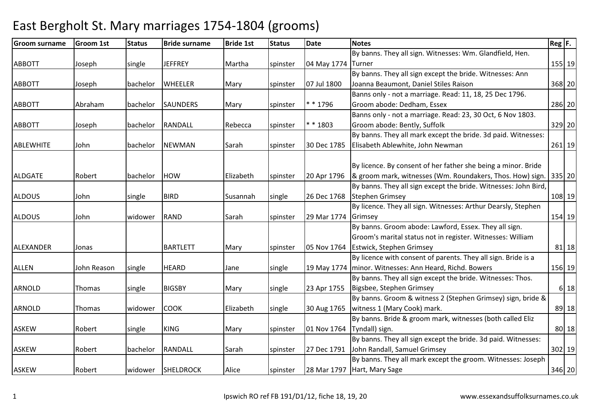#### Groom surnamee Groom 1st Status Bride surname Bride 1st Status Date Notes Reg F. Reg F. ABBOTT Joseph single JEFFREY Martha spinster 04 May 1774TurnerBy banns. They all sign. Witnesses: Wm. Glandfield, Hen. r 155 19 ABBOTT Joseph bachelor WHEELER Mary spinster 07 Jul 1800By banns. They all sign except the bride. Witnesses: Ann Joanna Beaumont, Daniel Stiles Raison <sup>368</sup> <sup>20</sup>ABBOTT Abraham bachelor SAUNDERS Mary spinster \* \* 1796Banns only - not a marriage. Read: 11, 18, 25 Dec 1796. Groom abode: Dedham, Essex <sup>286</sup> <sup>20</sup>ABBOTT Joseph bachelor RANDALL Rebecca spinster \* \* 1803Banns only - not a marriage. Read: 23, 30 Oct, 6 Nov 1803. Groom abode: Bently, Suffolk <sup>329</sup> <sup>20</sup>ABLEWHITE John bachelor NEWMAN Sarah spinster 30 Dec 1785By banns. They all mark except the bride. 3d paid. Witnesses: Elisabeth Ablewhite, John Newman <sup>261</sup> <sup>19</sup>ALDGATE Robert bachelor HOW Elizabeth spinster 20 Apr 1796By licence. By consent of her father she being a minor. Bride & groom mark, witnesses (Wm. Roundakers, Thos. How) sign. | 335| 20 ALDOUS John single BIRD Susannah single 26 Dec 1768By banns. They all sign except the bride. Witnesses: John Bird, Stephen Grimseyy 108|19 ALDOUS John widower RAND Sarah spinster 29 Mar 1774GrimseyBy licence. They all sign. Witnesses: Arthur Dearsly, Stephen y 154 19 ALEXANDER Jonas BARTLETT Mary Spinster 05 Nov 1764 By banns. Groom abode: Lawford, Essex. They all sign. Groom's marital status not in register. Witnesses: William Estwick, Stephen Grimseyy 81 18 ALLEN John Reason single HEARD Jane single 19 May 1774minor. Witnesses: Ann Heard, Richd. BowersBy licence with consent of parents. They all sign. Bride is a <sup>156</sup> <sup>19</sup>ARNOLD Thomas single BIGSBY Mary single 23 Apr 1755 By banns. They all sign except the bride. Witnesses: Thos. Bigsbee, Stephen Grimseyy 6 18 ARNOLD Thomas widower COOK Elizabeth single 30 Aug 1765By banns. Groom & witness 2 (Stephen Grimsey) sign, bride & witness 1 (Mary Cook) mark. 89 18ASKEW Robert single KING Mary spinster 01 Nov 1764Tyndall) sign.By banns. Bride & groom mark, witnesses (both called Eliz  $\sim$  80 | 18 ASKEW Robert bachelor RANDALL Sarah spinster 27 Dec 1791John Randall, Samuel GrimseyBy banns. They all sign except the bride. 3d paid. Witnesses: <sup>302</sup> <sup>19</sup>ASKEW **Robert** Widower SHELDROCK Alice Spinster 28 Mar 1797 By banns. They all mark except the groom. Witnesses: Joseph Hart, Mary Sage<sup>346</sup> <sup>20</sup>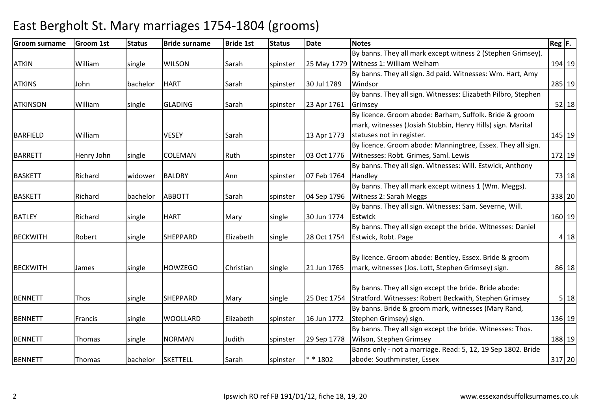#### Groom surnamee Groom 1st Status Bride surname Bride 1st Status Date Notes Reg F. Reg F. ATKIN William single WILSON Sarah spinster 25 May 1779Witness 1: William WelhamBy banns. They all mark except witness 2 (Stephen Grimsey). <sup>194</sup> <sup>19</sup> By banns. They all sign. 3d paid. Witnesses: Wm. Hart, Amy ATKINS John bachelor HART Sarah Spinster 30 Jul 1789 Windsor <sup>285</sup> <sup>19</sup>ATKINSON | William | single | GLADING | Sarah | spinster | 23 Apr 1761 By banns. They all sign. Witnesses: Elizabeth Pilbro, Stephen Grimseyy 52 18 BARFIELD | William | | | | | | | | | | | | | 13 Apr 1773 By licence. Groom abode: Barham, Suffolk. Bride & groom mark, witnesses (Josiah Stubbin, Henry Hills) sign. Marital statuses not in register. 145 19BARRETT Henry John Single COLEMAN Ruth Spinster 03 Oct 1776 By licence. Groom abode: Manningtree, Essex. They all sign. Witnesses: Robt. Grimes, Saml. Lewis172 19 BASKETT Richard Widower BALDRY Ann Spinster 07 Feb 1764 By banns. They all sign. Witnesses: Will. Estwick, Anthony **Handley** y 73 18 BASKETT Richard bachelor ABBOTT Sarah Spinster 04 Sep 1796 By banns. They all mark except witness 1 (Wm. Meggs). Witness 2: Sarah Meggs <sup>338</sup> <sup>20</sup>BATLEY Richard single HART Mary single 30 Jun 1774By banns. They all sign. Witnesses: Sam. Severne, Will. **Estwick** k 160 19 BECKWITH |Robert | single |SHEPPARD | Elizabeth | single | 28 Oct 1754 By banns. They all sign except the bride. Witnesses: Daniel Estwick, Robt. Pagee 18 BECKWITH James Single HOWZEGO Christian single 21 Jun 1765 By licence. Groom abode: Bentley, Essex. Bride & groom mark, witnesses (Jos. Lott, Stephen Grimsey) sign. 86 18BENNETT Thos Single SHEPPARD Mary Single 25 Dec 1754 By banns. They all sign except the bride. Bride abode: Stratford. Witnesses: Robert Beckwith, Stephen Grimsey <sup>5</sup> <sup>18</sup>BENNETT Francis single WOOLLARD Elizabeth spinster 16 Jun 1772By banns. Bride & groom mark, witnesses (Mary Rand, Stephen Grimsey) sign. 136 19BENNETT Thomas Single NORMAN Judith Spinster 29 Sep 1778 By banns. They all sign except the bride. Witnesses: Thos. Wilson, Stephen Grimsey <sup>188</sup> <sup>19</sup>BENNETT Thomas bachelor SKETTELL Sarah spinster \* \* 1802Banns only - not a marriage. Read: 5, 12, 19 Sep 1802. Bride abode: Southminster, Essex<sup>317</sup> <sup>20</sup>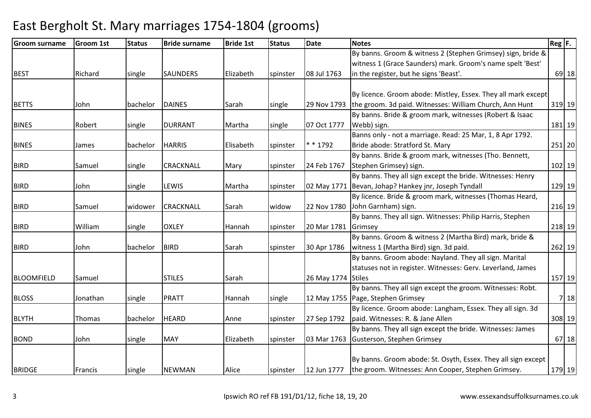| Groom surname     | <b>Groom 1st</b> | <b>Status</b> | <b>Bride surname</b> | <b>Bride 1st</b> | <b>Status</b> | <b>Date</b>         | <b>Notes</b>                                                          | $Reg$ $F.$ |
|-------------------|------------------|---------------|----------------------|------------------|---------------|---------------------|-----------------------------------------------------------------------|------------|
|                   |                  |               |                      |                  |               |                     | By banns. Groom & witness 2 (Stephen Grimsey) sign, bride &           |            |
|                   |                  |               |                      |                  |               |                     | witness 1 (Grace Saunders) mark. Groom's name spelt 'Best'            |            |
| <b>BEST</b>       | Richard          | single        | <b>SAUNDERS</b>      | Elizabeth        | spinster      | 08 Jul 1763         | in the register, but he signs 'Beast'.                                | $69$ 18    |
|                   |                  |               |                      |                  |               |                     |                                                                       |            |
|                   |                  |               |                      |                  |               |                     | By licence. Groom abode: Mistley, Essex. They all mark except         |            |
| <b>BETTS</b>      | John             | bachelor      | <b>DAINES</b>        | Sarah            | single        |                     | 29 Nov 1793   the groom. 3d paid. Witnesses: William Church, Ann Hunt | 319 19     |
|                   |                  |               |                      |                  |               |                     | By banns. Bride & groom mark, witnesses (Robert & Isaac               |            |
| <b>BINES</b>      | Robert           | single        | <b>DURRANT</b>       | Martha           | single        | 07 Oct 1777         | Webb) sign.                                                           | 181 19     |
|                   |                  |               |                      |                  |               |                     | Banns only - not a marriage. Read: 25 Mar, 1, 8 Apr 1792.             |            |
| <b>BINES</b>      | James            | bachelor      | <b>HARRIS</b>        | Elisabeth        | spinster      | * * 1792            | Bride abode: Stratford St. Mary                                       | $251$ 20   |
|                   |                  |               |                      |                  |               |                     | By banns. Bride & groom mark, witnesses (Tho. Bennett,                |            |
| <b>BIRD</b>       | Samuel           | single        | <b>CRACKNALL</b>     | Mary             | spinster      | 24 Feb 1767         | Stephen Grimsey) sign.                                                | 102 19     |
|                   |                  |               |                      |                  |               |                     | By banns. They all sign except the bride. Witnesses: Henry            |            |
| <b>BIRD</b>       | John             | single        | <b>LEWIS</b>         | Martha           | spinster      |                     | 02 May 1771 Bevan, Johap? Hankey jnr, Joseph Tyndall                  | 129 19     |
|                   |                  |               |                      |                  |               |                     | By licence. Bride & groom mark, witnesses (Thomas Heard,              |            |
| <b>BIRD</b>       | Samuel           | widower       | <b>CRACKNALL</b>     | Sarah            | widow         |                     | 22 Nov 1780 John Garnham) sign.                                       | 216 19     |
|                   |                  |               |                      |                  |               |                     | By banns. They all sign. Witnesses: Philip Harris, Stephen            |            |
| <b>BIRD</b>       | William          | single        | <b>OXLEY</b>         | Hannah           | spinster      | 20 Mar 1781 Grimsey |                                                                       | 218 19     |
|                   |                  |               |                      |                  |               |                     | By banns. Groom & witness 2 (Martha Bird) mark, bride &               |            |
| <b>BIRD</b>       | John             | bachelor      | <b>BIRD</b>          | Sarah            | spinster      | 30 Apr 1786         | witness 1 (Martha Bird) sign. 3d paid.                                | 262 19     |
|                   |                  |               |                      |                  |               |                     | By banns. Groom abode: Nayland. They all sign. Marital                |            |
|                   |                  |               |                      |                  |               |                     | statuses not in register. Witnesses: Gerv. Leverland, James           |            |
| <b>BLOOMFIELD</b> | Samuel           |               | <b>STILES</b>        | Sarah            |               | 26 May 1774 Stiles  |                                                                       | 157 19     |
|                   |                  |               |                      |                  |               |                     | By banns. They all sign except the groom. Witnesses: Robt.            |            |
| <b>BLOSS</b>      | Jonathan         | single        | <b>PRATT</b>         | Hannah           | single        |                     | 12 May 1755 Page, Stephen Grimsey                                     | 7 18       |
|                   |                  |               |                      |                  |               |                     | By licence. Groom abode: Langham, Essex. They all sign. 3d            |            |
| <b>BLYTH</b>      | Thomas           | bachelor      | <b>HEARD</b>         | Anne             | spinster      | 27 Sep 1792         | paid. Witnesses: R. & Jane Allen                                      | 308 19     |
|                   |                  |               |                      |                  |               |                     | By banns. They all sign except the bride. Witnesses: James            |            |
| <b>BOND</b>       | John             | single        | <b>MAY</b>           | Elizabeth        | spinster      |                     | 03 Mar 1763 Gusterson, Stephen Grimsey                                | 67 18      |
|                   |                  |               |                      |                  |               |                     |                                                                       |            |
|                   |                  |               |                      |                  |               |                     | By banns. Groom abode: St. Osyth, Essex. They all sign except         |            |
| <b>BRIDGE</b>     | Francis          | single        | <b>NEWMAN</b>        | Alice            | spinster      | 12 Jun 1777         | the groom. Witnesses: Ann Cooper, Stephen Grimsey.                    | 179 19     |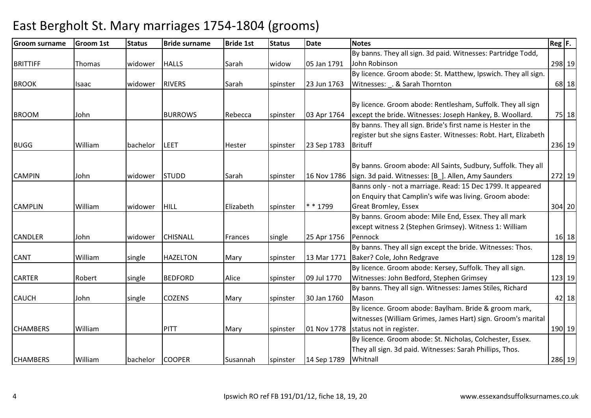#### Groom surnamee Groom 1st Status Bride surname Bride 1st Status Date Notes Reg F. Reg F. BRITTIFF Thomas Widower HALLS Sarah Widow 05 Jan 1791 By banns. They all sign. 3d paid. Witnesses: Partridge Todd, John Robinson <sup>298</sup> <sup>19</sup>BROOK Isaac Widower RIVERS Sarah Spinster 23 Jun 1763 By licence. Groom abode: St. Matthew, Ipswich. They all sign. Witnesses: . & Sarah Thornton <sup>68</sup> <sup>18</sup>BROOM John BURROWS Rebecca spinster 03 Apr 1764By licence. Groom abode: Rentlesham, Suffolk. They all sign except the bride. Witnesses: Joseph Hankey, B. Woollard. 75 18BUGG William bachelor LEET Hester spinster 23 Sep 1783By banns. They all sign. Bride's first name is Hester in the register but she signs Easter. Witnesses: Robt. Hart, Elizabeth **Brituff** f 236 19 CAMPIN John widower STUDD Sarah spinster 16 Nov 1786By banns. Groom abode: All Saints, Sudbury, Suffolk. They all sign. 3d paid. Witnesses: [B\_]. Allen, Amy Saunders <sup>272</sup> <sup>19</sup>CAMPLIN William widower HILL Elizabeth spinster \* \* 1799Banns only - not a marriage. Read: 15 Dec 1799. It appeared on Enquiry that Camplin's wife was living. Groom abode: Great Bromley, Essex <sup>304</sup> <sup>20</sup>CANDLER John widower CHISNALL Frances single 25 Apr 1756By banns. Groom abode: Mile End, Essex. They all mark except witness 2 (Stephen Grimsey). Witness 1: William Pennockk 16 18 CANT William single HAZELTON Mary spinster 13 Mar 1771By banns. They all sign except the bride. Witnesses: Thos. Baker? Cole, John Redgravee 128 19 CARTER Robert single BEDFORD Alice spinster 09 Jul 1770By licence. Groom abode: Kersey, Suffolk. They all sign. Witnesses: John Bedford, Stephen Grimsey <sup>123</sup> <sup>19</sup>CAUCH JJohn Single COZENS Mary Spinster 30 Jan 1760 By banns. They all sign. Witnesses: James Stiles, Richard Masonn 182 | 18 CHAMBERS William PITT Mary spinster 01 Nov 1778status not in register.By licence. Groom abode: Baylham. Bride & groom mark, witnesses (William Grimes, James Hart) sign. Groom's marital 190 19 CHAMBERS William bachelor COOPER Susannah spinster 14 Sep 1789By licence. Groom abode: St. Nicholas, Colchester, Essex. They all sign. 3d paid. Witnesses: Sarah Phillips, Thos. Whitnall286 19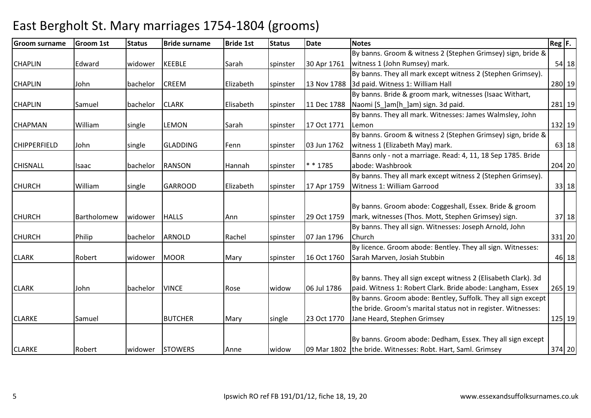#### Groom surnamee Groom 1st Status Bride surname Bride 1st Status Date Notes Reg F. Reg F. CHAPLIN Edward widower KEEBLE Sarah spinster 30 Apr 1761By banns. Groom & witness 2 (Stephen Grimsey) sign, bride & witness 1 (John Rumsey) mark. 54 18CHAPLIN John bachelor CREEM Elizabeth spinster 13 Nov 17883d paid. Witness 1: William HallBy banns. They all mark except witness 2 (Stephen Grimsey). 280 19CHAPLIN Samuel bachelor CLARK Elisabeth spinster 11 Dec 1788By banns. Bride & groom mark, witnesses (Isaac Withart, Naomi [S ]am[h ]am) sign. 3d paid. 281 19CHAPMAN William single LEMON Sarah spinster 17 Oct 1771By banns. They all mark. Witnesses: James Walmsley, John Lemonn 132 19 CHIPPERFIELD John single GLADDING Fenn spinster 03 Jun 1762By banns. Groom & witness 2 (Stephen Grimsey) sign, bride & witness 1 (Elizabeth May) mark. 63 18CHISNALL Isaac bachelor RANSON Hannah spinster \* \* 1785Banns only - not a marriage. Read: 4, 11, 18 Sep 1785. Bride abode: Washbrookk 204 20 CHURCH William single GARROOD Elizabeth spinster 17 Apr 1759By banns. They all mark except witness 2 (Stephen Grimsey). Witness 1: William Garroodd 33 18 CHURCH Bartholomew widower HALLS Ann Spinster 29 Oct 1759 By banns. Groom abode: Coggeshall, Essex. Bride & groom mark, witnesses (Thos. Mott, Stephen Grimsey) sign. 37 18CHURCH Philip bachelor ARNOLD Rachel spinster 07 Jan 1796By banns. They all sign. Witnesses: Joseph Arnold, John Church <sup>331</sup> <sup>20</sup>CLARK Robert widower MOOR Mary spinster 16 Oct 1760By licence. Groom abode: Bentley. They all sign. Witnesses: Sarah Marven, Josiah Stubbinn 18 CLARK John bachelor VINCE Rose widow 06 Jul 1786By banns. They all sign except witness 2 (Elisabeth Clark). 3d paid. Witness 1: Robert Clark. Bride abode: Langham, Essex <sup>265</sup> <sup>19</sup>CLARKE Samuel BUTCHER Mary single 23 Oct 1770By banns. Groom abode: Bentley, Suffolk. They all sign except the bride. Groom's marital status not in register. Witnesses: Jane Heard, Stephen Grimsey <sup>125</sup> <sup>19</sup>CLARKE Robert widower STOWERS Anne widow 09 Mar 1802the bride. Witnesses: Robt. Hart, Saml. GrimseyBy banns. Groom abode: Dedham, Essex. They all sign except <sup>374</sup> <sup>20</sup>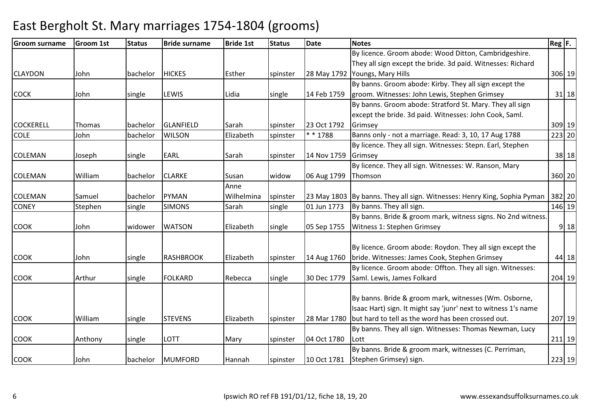| <b>Groom surname</b> | <b>Groom 1st</b> | <b>Status</b> | <b>Bride surname</b> | <b>Bride 1st</b> | <b>Status</b> | <b>Date</b> | <b>Notes</b>                                                             | $\text{Reg}$ $\vert$ F. |
|----------------------|------------------|---------------|----------------------|------------------|---------------|-------------|--------------------------------------------------------------------------|-------------------------|
|                      |                  |               |                      |                  |               |             | By licence. Groom abode: Wood Ditton, Cambridgeshire.                    |                         |
|                      |                  |               |                      |                  |               |             | They all sign except the bride. 3d paid. Witnesses: Richard              |                         |
| <b>CLAYDON</b>       | John             | bachelor      | <b>HICKES</b>        | Esther           | spinster      |             | 28 May 1792 Youngs, Mary Hills                                           | 306 19                  |
|                      |                  |               |                      |                  |               |             | By banns. Groom abode: Kirby. They all sign except the                   |                         |
| <b>COCK</b>          | John             | single        | <b>LEWIS</b>         | Lidia            | single        | 14 Feb 1759 | groom. Witnesses: John Lewis, Stephen Grimsey                            | 31 18                   |
|                      |                  |               |                      |                  |               |             | By banns. Groom abode: Stratford St. Mary. They all sign                 |                         |
|                      |                  |               |                      |                  |               |             | except the bride. 3d paid. Witnesses: John Cook, Saml.                   |                         |
| <b>COCKERELL</b>     | Thomas           | bachelor      | <b>GLANFIELD</b>     | Sarah            | spinster      | 23 Oct 1792 | Grimsey                                                                  | 309 19                  |
| <b>COLE</b>          | John             | bachelor      | <b>WILSON</b>        | Elizabeth        | spinster      | $* * 1788$  | Banns only - not a marriage. Read: 3, 10, 17 Aug 1788                    | 223 20                  |
|                      |                  |               |                      |                  |               |             | By licence. They all sign. Witnesses: Stepn. Earl, Stephen               |                         |
| <b>COLEMAN</b>       | Joseph           | single        | <b>EARL</b>          | Sarah            | spinster      | 14 Nov 1759 | Grimsey                                                                  | 38 18                   |
|                      |                  |               |                      |                  |               |             | By licence. They all sign. Witnesses: W. Ranson, Mary                    |                         |
| <b>COLEMAN</b>       | William          | bachelor      | <b>CLARKE</b>        | Susan            | widow         | 06 Aug 1799 | Thomson                                                                  | 360 20                  |
|                      |                  |               |                      | Anne             |               |             |                                                                          |                         |
| <b>COLEMAN</b>       | Samuel           | bachelor      | <b>PYMAN</b>         | Wilhelmina       | spinster      |             | 23 May 1803 By banns. They all sign. Witnesses: Henry King, Sophia Pyman | 382 20                  |
| <b>CONEY</b>         | Stephen          | single        | <b>SIMONS</b>        | Sarah            | single        | 01 Jun 1773 | By banns. They all sign.                                                 | 146 19                  |
|                      |                  |               |                      |                  |               |             | By banns. Bride & groom mark, witness signs. No 2nd witness.             |                         |
| <b>COOK</b>          | John             | widower       | <b>WATSON</b>        | Elizabeth        | single        | 05 Sep 1755 | Witness 1: Stephen Grimsey                                               | $9$ 18                  |
|                      |                  |               |                      |                  |               |             |                                                                          |                         |
|                      |                  |               |                      |                  |               |             | By licence. Groom abode: Roydon. They all sign except the                |                         |
| <b>COOK</b>          | John             | single        | <b>RASHBROOK</b>     | Elizabeth        | spinster      | 14 Aug 1760 | bride. Witnesses: James Cook, Stephen Grimsey                            | 44 18                   |
|                      |                  |               |                      |                  |               |             | By licence. Groom abode: Offton. They all sign. Witnesses:               |                         |
| <b>COOK</b>          | Arthur           | single        | <b>FOLKARD</b>       | Rebecca          | single        | 30 Dec 1779 | Saml. Lewis, James Folkard                                               | 204 19                  |
|                      |                  |               |                      |                  |               |             |                                                                          |                         |
|                      |                  |               |                      |                  |               |             | By banns. Bride & groom mark, witnesses (Wm. Osborne,                    |                         |
|                      |                  |               |                      |                  |               |             | Isaac Hart) sign. It might say 'junr' next to witness 1's name           |                         |
| <b>COOK</b>          | William          | single        | <b>STEVENS</b>       | Elizabeth        | spinster      |             | 28 Mar 1780 but hard to tell as the word has been crossed out.           | 207 19                  |
|                      |                  |               |                      |                  |               |             | By banns. They all sign. Witnesses: Thomas Newman, Lucy                  |                         |
| <b>COOK</b>          | Anthony          | single        | <b>LOTT</b>          | Mary             | spinster      | 04 Oct 1780 | Lott                                                                     | 211 19                  |
|                      |                  |               |                      |                  |               |             | By banns. Bride & groom mark, witnesses (C. Perriman,                    |                         |
| <b>COOK</b>          | John             | bachelor      | MUMFORD              | Hannah           | spinster      | 10 Oct 1781 | Stephen Grimsey) sign.                                                   | 223 19                  |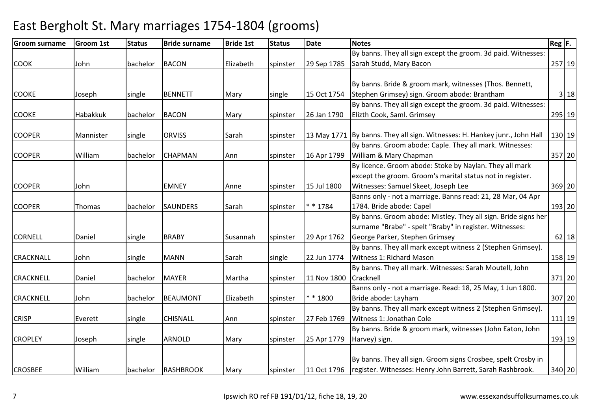#### Groom surnamee Groom 1st Status Bride surname Bride 1st Status Date Notes Reg F. Reg F. COOK John bachelor BACON Elizabeth spinster 29 Sep 1785By banns. They all sign except the groom. 3d paid. Witnesses: Sarah Studd, Mary Baconn 257 19 COOKE Joseph single BENNETT Mary single 15 Oct 1754By banns. Bride & groom mark, witnesses (Thos. Bennett, Stephen Grimsey) sign. Groom abode: BranthamStephen Grimsey) sign. Groom abode: Brantham 3| 18<br>By banns. They all sign except the groom. 3d paid. Witnesses: COOKE Habakkuk bachelor BACON Mary spinster 26 Jan 1790Elizth Cook, Saml. Grimsey <sup>295</sup> <sup>19</sup>COOPER Mannister single ORVISS Sarah spinster 13 May 1771 By banns. They all sign. Witnesses: H. Hankey junr., John Hall 130 19 COOPER William bachelor CHAPMAN Ann spinster 16 Apr 1799By banns. Groom abode: Caple. They all mark. Witnesses: William & Mary Chapman <sup>357</sup> <sup>20</sup>COOPER John EMNEY Anne spinster 15 Jul 1800By licence. Groom abode: Stoke by Naylan. They all mark except the groom. Groom's marital status not in register. Witnesses: Samuel Skeet, Joseph Lee <sup>369</sup> <sup>20</sup>COOPER Thomas bachelor SAUNDERS Sarah Spinster \* \* 1784 Banns only - not a marriage. Banns read: 21, 28 Mar, 04 Apr 1784. Bride abode: Capel 193 20CORNELL Daniel single BRABY Susannah spinster 29 Apr 1762By banns. Groom abode: Mistley. They all sign. Bride signs her surname "Brabe" - spelt "Braby" in register. Witnesses: George Parker, Stephen Grimseyy 62|18 CRACKNALL John single MANN Sarah single 22 Jun 1774By banns. They all mark except witness 2 (Stephen Grimsey). Witness 1: Richard Mason <sup>158</sup> <sup>19</sup>CRACKNELL Daniel bachelor MAYER Martha spinster 11 Nov 1800By banns. They all mark. Witnesses: Sarah Moutell, John **Cracknell** | 371 | 20 CRACKNELL John bachelor BEAUMONT Elizabeth spinster \* \* 1800Banns only - not a marriage. Read: 18, 25 May, 1 Jun 1800. Bride abode: Layham <sup>307</sup> <sup>20</sup> By banns. They all mark except witness 2 (Stephen Grimsey). CRISP Everett single CHISNALL Ann spinster 27 Feb 1769Witness 1: Jonathan Cole <sup>111</sup> <sup>19</sup>CROPLEY Joseph single ARNOLD Mary spinster 25 Apr 1779By banns. Bride & groom mark, witnesses (John Eaton, John Harvey) sign. 193 19CROSBEE William bachelor RASHBROOK Mary spinster 11 Oct 1796By banns. They all sign. Groom signs Crosbee, spelt Crosby in register. Witnesses: Henry John Barrett, Sarah Rashbrook.340 20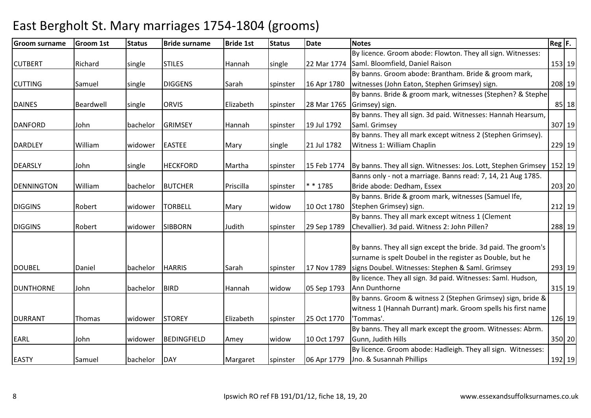| <b>Groom surname</b> | <b>Groom 1st</b> | <b>Status</b> | <b>Bride surname</b> | <b>Bride 1st</b> | <b>Status</b> | Date        | <b>Notes</b>                                                              | $\text{Reg}$ F. |        |
|----------------------|------------------|---------------|----------------------|------------------|---------------|-------------|---------------------------------------------------------------------------|-----------------|--------|
|                      |                  |               |                      |                  |               |             | By licence. Groom abode: Flowton. They all sign. Witnesses:               |                 |        |
| <b>CUTBERT</b>       | Richard          | single        | <b>STILES</b>        | Hannah           | single        | 22 Mar 1774 | Saml. Bloomfield, Daniel Raison                                           |                 | 153 19 |
|                      |                  |               |                      |                  |               |             | By banns. Groom abode: Brantham. Bride & groom mark,                      |                 |        |
| <b>CUTTING</b>       | Samuel           | single        | <b>DIGGENS</b>       | Sarah            | spinster      | 16 Apr 1780 | witnesses (John Eaton, Stephen Grimsey) sign.                             |                 | 208 19 |
|                      |                  |               |                      |                  |               |             | By banns. Bride & groom mark, witnesses (Stephen? & Stephe                |                 |        |
| <b>DAINES</b>        | Beardwell        | single        | <b>ORVIS</b>         | Elizabeth        | spinster      |             | 28 Mar 1765 Grimsey) sign.                                                |                 | 85 18  |
|                      |                  |               |                      |                  |               |             | By banns. They all sign. 3d paid. Witnesses: Hannah Hearsum,              |                 |        |
| <b>DANFORD</b>       | John             | bachelor      | <b>GRIMSEY</b>       | Hannah           | spinster      | 19 Jul 1792 | Saml. Grimsey                                                             |                 | 307 19 |
|                      |                  |               |                      |                  |               |             | By banns. They all mark except witness 2 (Stephen Grimsey).               |                 |        |
| <b>DARDLEY</b>       | William          | widower       | <b>EASTEE</b>        | Mary             | single        | 21 Jul 1782 | Witness 1: William Chaplin                                                |                 | 229 19 |
|                      |                  |               |                      |                  |               |             |                                                                           |                 |        |
| <b>DEARSLY</b>       | John             | single        | <b>HECKFORD</b>      | Martha           | spinster      | 15 Feb 1774 | By banns. They all sign. Witnesses: Jos. Lott, Stephen Grimsey   152   19 |                 |        |
|                      |                  |               |                      |                  |               |             | Banns only - not a marriage. Banns read: 7, 14, 21 Aug 1785.              |                 |        |
| <b>DENNINGTON</b>    | William          | bachelor      | <b>BUTCHER</b>       | Priscilla        | spinster      | $* * 1785$  | Bride abode: Dedham, Essex                                                |                 | 203 20 |
|                      |                  |               |                      |                  |               |             | By banns. Bride & groom mark, witnesses (Samuel Ife,                      |                 |        |
| <b>DIGGINS</b>       | Robert           | widower       | <b>TORBELL</b>       | Mary             | widow         | 10 Oct 1780 | Stephen Grimsey) sign.                                                    |                 | 212 19 |
|                      |                  |               |                      |                  |               |             | By banns. They all mark except witness 1 (Clement                         |                 |        |
| <b>DIGGINS</b>       | Robert           | widower       | <b>SIBBORN</b>       | Judith           | spinster      | 29 Sep 1789 | Chevallier). 3d paid. Witness 2: John Pillen?                             |                 | 288 19 |
|                      |                  |               |                      |                  |               |             |                                                                           |                 |        |
|                      |                  |               |                      |                  |               |             | By banns. They all sign except the bride. 3d paid. The groom's            |                 |        |
|                      |                  |               |                      |                  |               |             | surname is spelt Doubel in the register as Double, but he                 |                 |        |
| <b>DOUBEL</b>        | Daniel           | bachelor      | <b>HARRIS</b>        | Sarah            | spinster      | 17 Nov 1789 | signs Doubel. Witnesses: Stephen & Saml. Grimsey                          |                 | 293 19 |
|                      |                  |               |                      |                  |               |             | By licence. They all sign. 3d paid. Witnesses: Saml. Hudson,              |                 |        |
| <b>DUNTHORNE</b>     | John             | bachelor      | <b>BIRD</b>          | Hannah           | widow         | 05 Sep 1793 | Ann Dunthorne                                                             |                 | 315 19 |
|                      |                  |               |                      |                  |               |             | By banns. Groom & witness 2 (Stephen Grimsey) sign, bride &               |                 |        |
|                      |                  |               |                      |                  |               |             | witness 1 (Hannah Durrant) mark. Groom spells his first name              |                 |        |
| <b>DURRANT</b>       | Thomas           | widower       | <b>STOREY</b>        | Elizabeth        | spinster      | 25 Oct 1770 | 'Tommas'.                                                                 |                 | 126 19 |
|                      |                  |               |                      |                  |               |             | By banns. They all mark except the groom. Witnesses: Abrm.                |                 |        |
| EARL                 | John             | widower       | BEDINGFIELD          | Amey             | widow         | 10 Oct 1797 | Gunn, Judith Hills                                                        | 350 20          |        |
|                      |                  |               |                      |                  |               |             | By licence. Groom abode: Hadleigh. They all sign. Witnesses:              |                 |        |
| <b>EASTY</b>         | Samuel           | bachelor      | DAY                  | Margaret         | spinster      | 06 Apr 1779 | Jno. & Susannah Phillips                                                  |                 | 192 19 |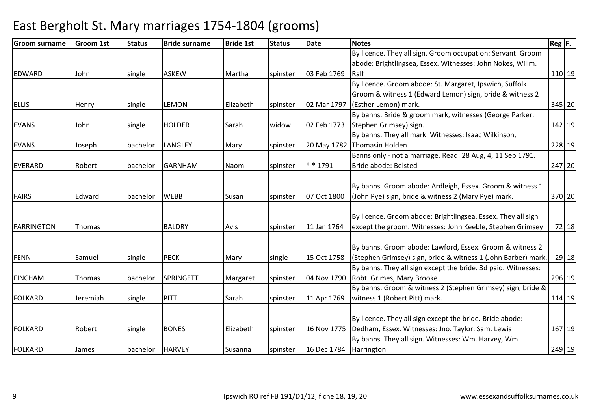| <b>Groom surname</b> | <b>Groom 1st</b> | <b>Status</b> | <b>Bride surname</b> | <b>Bride 1st</b> | <b>Status</b> | <b>Date</b>            | <b>Notes</b>                                                    | $Reg$ $F.$ |       |
|----------------------|------------------|---------------|----------------------|------------------|---------------|------------------------|-----------------------------------------------------------------|------------|-------|
|                      |                  |               |                      |                  |               |                        | By licence. They all sign. Groom occupation: Servant. Groom     |            |       |
|                      |                  |               |                      |                  |               |                        | abode: Brightlingsea, Essex. Witnesses: John Nokes, Willm.      |            |       |
| <b>EDWARD</b>        | John             | single        | <b>ASKEW</b>         | Martha           | spinster      | 03 Feb 1769            | Ralf                                                            | 110 19     |       |
|                      |                  |               |                      |                  |               |                        | By licence. Groom abode: St. Margaret, Ipswich, Suffolk.        |            |       |
|                      |                  |               |                      |                  |               |                        | Groom & witness 1 (Edward Lemon) sign, bride & witness 2        |            |       |
| <b>ELLIS</b>         | Henry            | single        | <b>LEMON</b>         | Elizabeth        | spinster      | 02 Mar 1797            | (Esther Lemon) mark.                                            | 345 20     |       |
|                      |                  |               |                      |                  |               |                        | By banns. Bride & groom mark, witnesses (George Parker,         |            |       |
| <b>EVANS</b>         | John             | single        | <b>HOLDER</b>        | Sarah            | widow         | 02 Feb 1773            | Stephen Grimsey) sign.                                          | 142 19     |       |
|                      |                  |               |                      |                  |               |                        | By banns. They all mark. Witnesses: Isaac Wilkinson,            |            |       |
| <b>EVANS</b>         | Joseph           | bachelor      | <b>LANGLEY</b>       | Mary             | spinster      |                        | 20 May 1782 Thomasin Holden                                     | 228 19     |       |
|                      |                  |               |                      |                  |               |                        | Banns only - not a marriage. Read: 28 Aug, 4, 11 Sep 1791.      |            |       |
| <b>EVERARD</b>       | Robert           | bachelor      | <b>GARNHAM</b>       | Naomi            | spinster      | $* * 1791$             | Bride abode: Belsted                                            | 247 20     |       |
|                      |                  |               |                      |                  |               |                        |                                                                 |            |       |
|                      |                  |               |                      |                  |               |                        | By banns. Groom abode: Ardleigh, Essex. Groom & witness 1       |            |       |
| <b>FAIRS</b>         | Edward           | bachelor      | <b>WEBB</b>          | Susan            | spinster      | 07 Oct 1800            | (John Pye) sign, bride & witness 2 (Mary Pye) mark.             | 370 20     |       |
|                      |                  |               |                      |                  |               |                        |                                                                 |            |       |
|                      |                  |               |                      |                  |               |                        | By licence. Groom abode: Brightlingsea, Essex. They all sign    |            |       |
| <b>FARRINGTON</b>    | Thomas           |               | <b>BALDRY</b>        | Avis             | spinster      | 11 Jan 1764            | except the groom. Witnesses: John Keeble, Stephen Grimsey       |            | 72 18 |
|                      |                  |               |                      |                  |               |                        |                                                                 |            |       |
|                      |                  |               |                      |                  |               |                        | By banns. Groom abode: Lawford, Essex. Groom & witness 2        |            |       |
| <b>FENN</b>          | Samuel           | single        | <b>PECK</b>          | Mary             | single        | 15 Oct 1758            | (Stephen Grimsey) sign, bride & witness 1 (John Barber) mark.   |            | 29 18 |
|                      |                  |               |                      |                  |               |                        | By banns. They all sign except the bride. 3d paid. Witnesses:   |            |       |
| <b>FINCHAM</b>       | Thomas           | bachelor      | SPRINGETT            | Margaret         | spinster      | 04 Nov 1790            | Robt. Grimes, Mary Brooke                                       | 296 19     |       |
|                      |                  |               |                      |                  |               |                        | By banns. Groom & witness 2 (Stephen Grimsey) sign, bride &     |            |       |
| <b>FOLKARD</b>       | Jeremiah         | single        | <b>PITT</b>          | Sarah            | spinster      | 11 Apr 1769            | witness 1 (Robert Pitt) mark.                                   | 114 19     |       |
|                      |                  |               |                      |                  |               |                        |                                                                 |            |       |
|                      |                  |               |                      |                  |               |                        | By licence. They all sign except the bride. Bride abode:        |            |       |
| FOLKARD              | Robert           | single        | <b>BONES</b>         | Elizabeth        | spinster      |                        | 16 Nov 1775   Dedham, Essex. Witnesses: Jno. Taylor, Sam. Lewis | 167 19     |       |
|                      |                  |               |                      |                  |               |                        | By banns. They all sign. Witnesses: Wm. Harvey, Wm.             |            |       |
| FOLKARD              | James            | bachelor      | <b>HARVEY</b>        | Susanna          | spinster      | 16 Dec 1784 Harrington |                                                                 | 249 19     |       |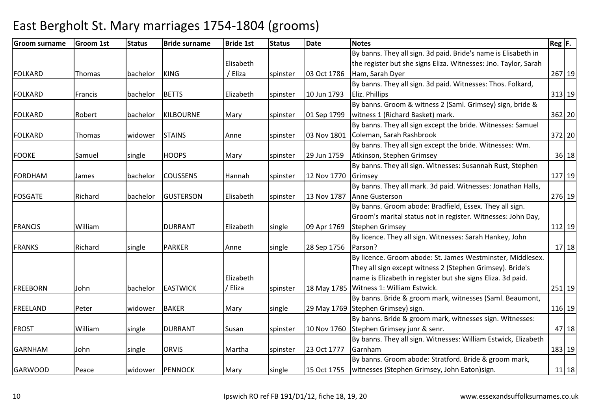| <b>Groom surname</b> | <b>Groom 1st</b> | <b>Status</b> | <b>Bride surname</b> | <b>Bride 1st</b> | <b>Status</b> | <b>Date</b> | <b>Notes</b>                                                    | $Reg$ $F.$ |           |
|----------------------|------------------|---------------|----------------------|------------------|---------------|-------------|-----------------------------------------------------------------|------------|-----------|
|                      |                  |               |                      |                  |               |             | By banns. They all sign. 3d paid. Bride's name is Elisabeth in  |            |           |
|                      |                  |               |                      | Elisabeth        |               |             | the register but she signs Eliza. Witnesses: Jno. Taylor, Sarah |            |           |
| <b>FOLKARD</b>       | Thomas           | bachelor      | <b>KING</b>          | / Eliza          | spinster      | 03 Oct 1786 | Ham, Sarah Dyer                                                 | 267 19     |           |
|                      |                  |               |                      |                  |               |             | By banns. They all sign. 3d paid. Witnesses: Thos. Folkard,     |            |           |
| FOLKARD              | Francis          | bachelor      | <b>BETTS</b>         | Elizabeth        | spinster      | 10 Jun 1793 | Eliz. Phillips                                                  | 313 19     |           |
|                      |                  |               |                      |                  |               |             | By banns. Groom & witness 2 (Saml. Grimsey) sign, bride &       |            |           |
| FOLKARD              | Robert           | bachelor      | KILBOURNE            | Mary             | spinster      | 01 Sep 1799 | witness 1 (Richard Basket) mark.                                | 362 20     |           |
|                      |                  |               |                      |                  |               |             | By banns. They all sign except the bride. Witnesses: Samuel     |            |           |
| <b>FOLKARD</b>       | Thomas           | widower       | <b>STAINS</b>        | Anne             | spinster      |             | 03 Nov 1801 Coleman, Sarah Rashbrook                            | 372 20     |           |
|                      |                  |               |                      |                  |               |             | By banns. They all sign except the bride. Witnesses: Wm.        |            |           |
| <b>FOOKE</b>         | Samuel           | single        | <b>HOOPS</b>         | Mary             | spinster      | 29 Jun 1759 | Atkinson, Stephen Grimsey                                       |            | $36$ 18   |
|                      |                  |               |                      |                  |               |             | By banns. They all sign. Witnesses: Susannah Rust, Stephen      |            |           |
| <b>FORDHAM</b>       | James            | bachelor      | <b>COUSSENS</b>      | Hannah           | spinster      | 12 Nov 1770 | Grimsey                                                         |            | 127 19    |
|                      |                  |               |                      |                  |               |             | By banns. They all mark. 3d paid. Witnesses: Jonathan Halls,    |            |           |
| FOSGATE              | Richard          | bachelor      | <b>GUSTERSON</b>     | Elisabeth        | spinster      | 13 Nov 1787 | Anne Gusterson                                                  | 276 19     |           |
|                      |                  |               |                      |                  |               |             | By banns. Groom abode: Bradfield, Essex. They all sign.         |            |           |
|                      |                  |               |                      |                  |               |             | Groom's marital status not in register. Witnesses: John Day,    |            |           |
| <b>FRANCIS</b>       | William          |               | <b>DURRANT</b>       | Elizabeth        | single        | 09 Apr 1769 | <b>Stephen Grimsey</b>                                          | 112 19     |           |
|                      |                  |               |                      |                  |               |             | By licence. They all sign. Witnesses: Sarah Hankey, John        |            |           |
| <b>FRANKS</b>        | Richard          | single        | <b>PARKER</b>        | Anne             | single        | 28 Sep 1756 | Parson?                                                         |            | $17$   18 |
|                      |                  |               |                      |                  |               |             | By licence. Groom abode: St. James Westminster, Middlesex.      |            |           |
|                      |                  |               |                      |                  |               |             | They all sign except witness 2 (Stephen Grimsey). Bride's       |            |           |
|                      |                  |               |                      | Elizabeth        |               |             | name is Elizabeth in register but she signs Eliza. 3d paid.     |            |           |
| <b>FREEBORN</b>      | John             | bachelor      | <b>EASTWICK</b>      | / Eliza          | spinster      |             | 18 May 1785   Witness 1: William Estwick.                       | 251 19     |           |
|                      |                  |               |                      |                  |               |             | By banns. Bride & groom mark, witnesses (Saml. Beaumont,        |            |           |
| FREELAND             | Peter            | widower       | <b>BAKER</b>         | Mary             | single        |             | 29 May 1769 Stephen Grimsey) sign.                              | 116 19     |           |
|                      |                  |               |                      |                  |               |             | By banns. Bride & groom mark, witnesses sign. Witnesses:        |            |           |
| <b>FROST</b>         | William          | single        | <b>DURRANT</b>       | Susan            | spinster      |             | 10 Nov 1760 Stephen Grimsey junr & senr.                        |            | 47 18     |
|                      |                  |               |                      |                  |               |             | By banns. They all sign. Witnesses: William Estwick, Elizabeth  |            |           |
| <b>GARNHAM</b>       | John             | single        | <b>ORVIS</b>         | Martha           | spinster      | 23 Oct 1777 | Garnham                                                         | 183 19     |           |
|                      |                  |               |                      |                  |               |             | By banns. Groom abode: Stratford. Bride & groom mark,           |            |           |
| <b>GARWOOD</b>       | Peace            | widower       | PENNOCK              | Mary             | single        | 15 Oct 1755 | witnesses (Stephen Grimsey, John Eaton)sign.                    |            | $11$ 18   |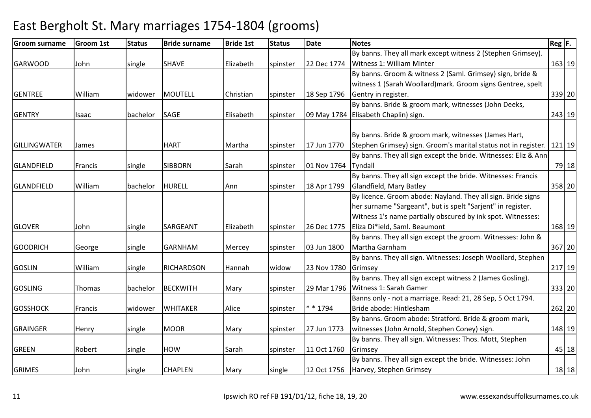#### Groom surnamee Groom 1st Status Bride surname Bride 1st Status Date Notes Reg F. Reg F. GARWOOD John single SHAVE Elizabeth spinster 22 Dec 1774By banns. They all mark except witness 2 (Stephen Grimsey). Witness 1: William Minter163 19 GENTREE | William | widower | MOUTELL | Christian | spinster | 18 Sep 1796 By banns. Groom & witness 2 (Saml. Grimsey) sign, bride & witness 1 (Sarah Woollard)mark. Groom signs Gentree, spelt Gentry in register. 339 20GENTRY Isaac bachelor SAGE Elisabeth spinster 09 May 1784Elisabeth Chaplin) sign.By banns. Bride & groom mark, witnesses (John Deeks, 243 19GILLINGWATER James | HART Martha Spinster 17 Jun 1770 By banns. Bride & groom mark, witnesses (James Hart, Stephen Grimsey) sign. Groom's marital status not in register. | 121| 19 GLANDFIELD Francis single SIBBORN Sarah Spinster 01 Nov 1764 By banns. They all sign except the bride. Witnesses: Eliz & Ann Tyndalll 19 | 18 GLANDFIELD William bachelor HURELL Ann spinster 18 Apr 1799By banns. They all sign except the bride. Witnesses: Francis Glandfield, Mary Batley <sup>358</sup> <sup>20</sup>GLOVER John single SARGEANT Elizabeth spinster 26 Dec 1775By licence. Groom abode: Nayland. They all sign. Bride signs her surname "Sargeant", but is spelt "Sarjent" in register. Witness 1's name partially obscured by ink spot. Witnesses: Eliza Di\*ield, Saml. Beaumont <sup>168</sup> <sup>19</sup>GOODRICH George single GARNHAM Mercey spinster 03 Jun 1800By banns. They all sign except the groom. Witnesses: John & Martha Garnham <sup>367</sup> <sup>20</sup> By banns. They all sign. Witnesses: Joseph Woollard, Stephen GOSLIN William single RICHARDSON Hannah widow 23 Nov 1780**Grimsey** y 217 19 GOSLING Thomas bachelor BECKWITH Mary spinster 29 Mar 1796By banns. They all sign except witness 2 (James Gosling). 29 Mar 1796 Witness 1: Sarah Gamer <sup>333</sup> <sup>20</sup>GOSSHOCK Francis widower WHITAKER Alice spinster \* \* 1794Banns only - not a marriage. Read: 21, 28 Sep, 5 Oct 1794. Bride abode: Hintlesham <sup>262</sup> <sup>20</sup> By banns. Groom abode: Stratford. Bride & groom mark, GRAINGER Henry single MOOR Mary spinster 27 Jun 1773 witnesses (John Arnold, Stephen Coney) sign. 148 19GREEN Robert single HOW Sarah spinster 11 Oct 1760By banns. They all sign. Witnesses: Thos. Mott, Stephen Grimseyy 18 GRIMES John single CHAPLEN Mary single 12 Oct 1756By banns. They all sign except the bride. Witnesses: John Harvey, Stephen Grimseyy 18|18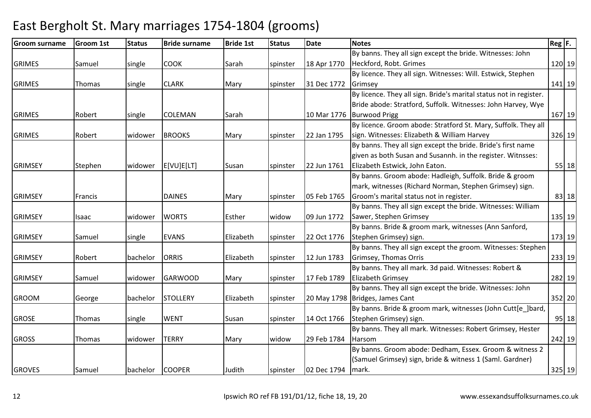| <b>Groom surname</b> | <b>Groom 1st</b> | <b>Status</b> | <b>Bride surname</b> | <b>Bride 1st</b> | <b>Status</b> | <b>Date</b> | <b>Notes</b>                                                       | $Reg$ $F.$ |         |
|----------------------|------------------|---------------|----------------------|------------------|---------------|-------------|--------------------------------------------------------------------|------------|---------|
|                      |                  |               |                      |                  |               |             | By banns. They all sign except the bride. Witnesses: John          |            |         |
| <b>GRIMES</b>        | Samuel           | single        | <b>COOK</b>          | Sarah            | spinster      | 18 Apr 1770 | Heckford, Robt. Grimes                                             |            | 120 19  |
|                      |                  |               |                      |                  |               |             | By licence. They all sign. Witnesses: Will. Estwick, Stephen       |            |         |
| <b>GRIMES</b>        | Thomas           | single        | <b>CLARK</b>         | Mary             | spinster      | 31 Dec 1772 | Grimsey                                                            |            | 141 19  |
|                      |                  |               |                      |                  |               |             | By licence. They all sign. Bride's marital status not in register. |            |         |
|                      |                  |               |                      |                  |               |             | Bride abode: Stratford, Suffolk. Witnesses: John Harvey, Wye       |            |         |
| <b>GRIMES</b>        | Robert           | single        | <b>COLEMAN</b>       | Sarah            |               |             | 10 Mar 1776 Burwood Prigg                                          |            | 167 19  |
|                      |                  |               |                      |                  |               |             | By licence. Groom abode: Stratford St. Mary, Suffolk. They all     |            |         |
| <b>GRIMES</b>        | Robert           | widower       | <b>BROOKS</b>        | Mary             | spinster      | 22 Jan 1795 | sign. Witnesses: Elizabeth & William Harvey                        |            | 326 19  |
|                      |                  |               |                      |                  |               |             | By banns. They all sign except the bride. Bride's first name       |            |         |
|                      |                  |               |                      |                  |               |             | given as both Susan and Susannh. in the register. Witnsses:        |            |         |
| <b>GRIMSEY</b>       | Stephen          | widower       | E[VU]E[LT]           | Susan            | spinster      | 22 Jun 1761 | Elizabeth Estwick, John Eaton.                                     |            | $55$ 18 |
|                      |                  |               |                      |                  |               |             | By banns. Groom abode: Hadleigh, Suffolk. Bride & groom            |            |         |
|                      |                  |               |                      |                  |               |             | mark, witnesses (Richard Norman, Stephen Grimsey) sign.            |            |         |
| <b>GRIMSEY</b>       | Francis          |               | <b>DAINES</b>        | Mary             | spinster      | 05 Feb 1765 | Groom's marital status not in register.                            |            | 83 18   |
|                      |                  |               |                      |                  |               |             | By banns. They all sign except the bride. Witnesses: William       |            |         |
| <b>GRIMSEY</b>       | Isaac            | widower       | <b>WORTS</b>         | Esther           | widow         | 09 Jun 1772 | Sawer, Stephen Grimsey                                             |            | 135 19  |
|                      |                  |               |                      |                  |               |             | By banns. Bride & groom mark, witnesses (Ann Sanford,              |            |         |
| <b>GRIMSEY</b>       | Samuel           | single        | <b>EVANS</b>         | Elizabeth        | spinster      | 22 Oct 1776 | Stephen Grimsey) sign.                                             |            | 173 19  |
|                      |                  |               |                      |                  |               |             | By banns. They all sign except the groom. Witnesses: Stephen       |            |         |
| <b>GRIMSEY</b>       | Robert           | bachelor      | <b>ORRIS</b>         | Elizabeth        | spinster      | 12 Jun 1783 | Grimsey, Thomas Orris                                              |            | 233 19  |
|                      |                  |               |                      |                  |               |             | By banns. They all mark. 3d paid. Witnesses: Robert &              |            |         |
| <b>GRIMSEY</b>       | Samuel           | widower       | <b>GARWOOD</b>       | Mary             | spinster      | 17 Feb 1789 | <b>Elizabeth Grimsey</b>                                           |            | 282 19  |
|                      |                  |               |                      |                  |               |             | By banns. They all sign except the bride. Witnesses: John          |            |         |
| <b>GROOM</b>         | George           | bachelor      | <b>STOLLERY</b>      | Elizabeth        | spinster      |             | 20 May 1798 Bridges, James Cant                                    |            | 352 20  |
|                      |                  |               |                      |                  |               |             | By banns. Bride & groom mark, witnesses (John Cutt[e_]bard,        |            |         |
| <b>GROSE</b>         | Thomas           | single        | <b>WENT</b>          | Susan            | spinster      | 14 Oct 1766 | Stephen Grimsey) sign.                                             |            | $95$ 18 |
|                      |                  |               |                      |                  |               |             | By banns. They all mark. Witnesses: Robert Grimsey, Hester         |            |         |
| <b>GROSS</b>         | Thomas           | widower       | <b>TERRY</b>         | Mary             | widow         | 29 Feb 1784 | Harsom                                                             |            | 242 19  |
|                      |                  |               |                      |                  |               |             | By banns. Groom abode: Dedham, Essex. Groom & witness 2            |            |         |
|                      |                  |               |                      |                  |               |             | (Samuel Grimsey) sign, bride & witness 1 (Saml. Gardner)           |            |         |
| <b>GROVES</b>        | Samuel           | bachelor      | <b>COOPER</b>        | Judith           | spinster      | 02 Dec 1794 | mark.                                                              |            | 325 19  |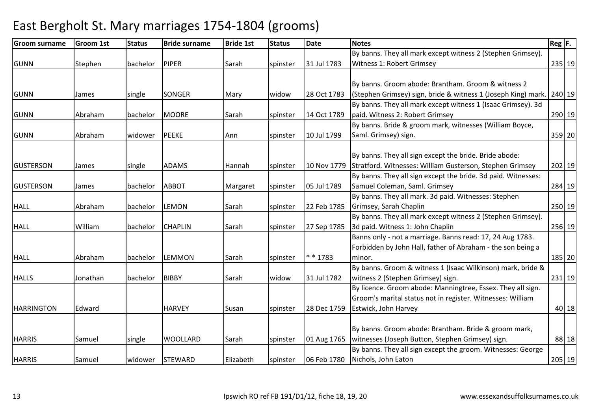#### Groom surnamee Groom 1st Status Bride surname Bride 1st Status Date Notes Reg F. Reg F. GUNN Stephen bachelor PIPER Sarah spinster 31 Jul 1783By banns. They all mark except witness 2 (Stephen Grimsey). Witness 1: Robert Grimsey <sup>235</sup> <sup>19</sup>GUNN James single SONGER Mary widow 28 Oct 1783By banns. Groom abode: Brantham. Groom & witness 2 (Stephen Grimsey) sign, bride & witness 1 (Joseph King) mark. | 240| 19 GUNN Abraham bachelor MOORE Sarah spinster 14 Oct 1789By banns. They all mark except witness 1 (Isaac Grimsey). 3d paid. Witness 2: Robert Grimsey <sup>290</sup> <sup>19</sup>GUNN Abraham widower PEEKE Ann spinster 10 Jul 1799By banns. Bride & groom mark, witnesses (William Boyce, Saml. Grimsey) sign. 359 20GUSTERSON James Single ADAMS Hannah Spinster 10 Nov 1779 By banns. They all sign except the bride. Bride abode: Stratford. Witnesses: William Gusterson, Stephen Grimsey <sup>202</sup> <sup>19</sup>GUSTERSON James bachelor ABBOT Margaret spinster 05 Jul 1789By banns. They all sign except the bride. 3d paid. Witnesses: Samuel Coleman, Saml. Grimsey <sup>284</sup> <sup>19</sup>HALL Abraham bachelor LEMON Sarah spinster 22 Feb 1785By banns. They all mark. 3d paid. Witnesses: Stephen Grimsey, Sarah Chaplin <sup>250</sup> <sup>19</sup>HALL William bachelor CHAPLIN Sarah spinster 27 Sep 1785By banns. They all mark except witness 2 (Stephen Grimsey). 3d paid. Witness 1: John Chaplin <sup>256</sup> <sup>19</sup>HALL Abraham bachelor LEMMON Sarah spinster \* \* 1783Banns only - not a marriage. Banns read: 17, 24 Aug 1783. Forbidden by John Hall, father of Abraham - the son being a minor.. [185] 20 HALLS Jonathan bachelor BIBBY Sarah widow 31 Jul 1782By banns. Groom & witness 1 (Isaac Wilkinson) mark, bride & witness 2 (Stephen Grimsey) sign. 231 19HARRINGTON Edward | HARVEY Susan Spinster 28 Dec 1759 By licence. Groom abode: Manningtree, Essex. They all sign. Groom's marital status not in register. Witnesses: William Estwick, John Harveyy 18 HARRIS Samuel single WOOLLARD Sarah spinster 01 Aug 1765By banns. Groom abode: Brantham. Bride & groom mark, witnesses (Joseph Button, Stephen Grimsey) sign. 88 18HARRIS Samuel widower STEWARD Elizabeth spinster 06 Feb 1780By banns. They all sign except the groom. Witnesses: George Nichols, John Eaton<sup>205</sup> <sup>19</sup>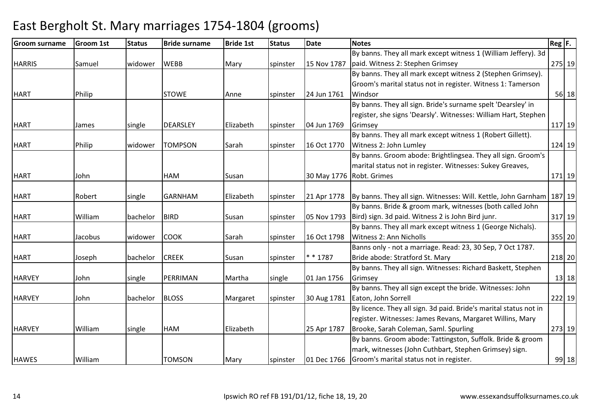| Groom surname | <b>Groom 1st</b> | <b>Status</b> | <b>Bride surname</b> | <b>Bride 1st</b> | <b>Status</b> | <b>Date</b> | <b>Notes</b>                                                      | $\text{Reg}$ $\vert$ F. |
|---------------|------------------|---------------|----------------------|------------------|---------------|-------------|-------------------------------------------------------------------|-------------------------|
|               |                  |               |                      |                  |               |             | By banns. They all mark except witness 1 (William Jeffery). 3d    |                         |
| <b>HARRIS</b> | Samuel           | widower       | <b>WEBB</b>          | Mary             | spinster      | 15 Nov 1787 | paid. Witness 2: Stephen Grimsey                                  | 275 19                  |
|               |                  |               |                      |                  |               |             | By banns. They all mark except witness 2 (Stephen Grimsey).       |                         |
|               |                  |               |                      |                  |               |             | Groom's marital status not in register. Witness 1: Tamerson       |                         |
| <b>HART</b>   | Philip           |               | <b>STOWE</b>         | Anne             | spinster      | 24 Jun 1761 | Windsor                                                           | $56$ 18                 |
|               |                  |               |                      |                  |               |             | By banns. They all sign. Bride's surname spelt 'Dearsley' in      |                         |
|               |                  |               |                      |                  |               |             | register, she signs 'Dearsly'. Witnesses: William Hart, Stephen   |                         |
| <b>HART</b>   | James            | single        | <b>DEARSLEY</b>      | Elizabeth        | spinster      | 04 Jun 1769 | Grimsey                                                           | 117 19                  |
|               |                  |               |                      |                  |               |             | By banns. They all mark except witness 1 (Robert Gillett).        |                         |
| <b>HART</b>   | Philip           | widower       | <b>TOMPSON</b>       | Sarah            | spinster      | 16 Oct 1770 | Witness 2: John Lumley                                            | 124 19                  |
|               |                  |               |                      |                  |               |             | By banns. Groom abode: Brightlingsea. They all sign. Groom's      |                         |
|               |                  |               |                      |                  |               |             | marital status not in register. Witnesses: Sukey Greaves,         |                         |
| <b>HART</b>   | John             |               | <b>HAM</b>           | Susan            |               |             | 30 May 1776 Robt. Grimes                                          | 171 19                  |
|               |                  |               |                      |                  |               |             |                                                                   |                         |
| <b>HART</b>   | Robert           | single        | <b>GARNHAM</b>       | Elizabeth        | spinster      | 21 Apr 1778 | By banns. They all sign. Witnesses: Will. Kettle, John Garnham    | 187 19                  |
|               |                  |               |                      |                  |               |             | By banns. Bride & groom mark, witnesses (both called John         |                         |
| <b>HART</b>   | William          | bachelor      | <b>BIRD</b>          | Susan            | spinster      | 05 Nov 1793 | Bird) sign. 3d paid. Witness 2 is John Bird junr.                 | 317 19                  |
|               |                  |               |                      |                  |               |             | By banns. They all mark except witness 1 (George Nichals).        |                         |
| <b>HART</b>   | Jacobus          | widower       | <b>COOK</b>          | Sarah            | spinster      | 16 Oct 1798 | Witness 2: Ann Nicholls                                           | 355 20                  |
|               |                  |               |                      |                  |               |             | Banns only - not a marriage. Read: 23, 30 Sep, 7 Oct 1787.        |                         |
| <b>HART</b>   | Joseph           | bachelor      | <b>CREEK</b>         | Susan            | spinster      | $* * 1787$  | Bride abode: Stratford St. Mary                                   | 218 20                  |
|               |                  |               |                      |                  |               |             | By banns. They all sign. Witnesses: Richard Baskett, Stephen      |                         |
| <b>HARVEY</b> | John             | single        | PERRIMAN             | Martha           | single        | 01 Jan 1756 | Grimsey                                                           | $13$ 18                 |
|               |                  |               |                      |                  |               |             | By banns. They all sign except the bride. Witnesses: John         |                         |
| <b>HARVEY</b> | John             | bachelor      | <b>BLOSS</b>         | Margaret         | spinster      | 30 Aug 1781 | Eaton, John Sorrell                                               | 222 19                  |
|               |                  |               |                      |                  |               |             | By licence. They all sign. 3d paid. Bride's marital status not in |                         |
|               |                  |               |                      |                  |               |             | register. Witnesses: James Revans, Margaret Willins, Mary         |                         |
| <b>HARVEY</b> | William          | single        | <b>HAM</b>           | Elizabeth        |               | 25 Apr 1787 | Brooke, Sarah Coleman, Saml. Spurling                             | 273 19                  |
|               |                  |               |                      |                  |               |             | By banns. Groom abode: Tattingston, Suffolk. Bride & groom        |                         |
|               |                  |               |                      |                  |               |             | mark, witnesses (John Cuthbart, Stephen Grimsey) sign.            |                         |
| <b>HAWES</b>  | William          |               | <b>TOMSON</b>        | Mary             | spinster      | 01 Dec 1766 | Groom's marital status not in register.                           | 99 18                   |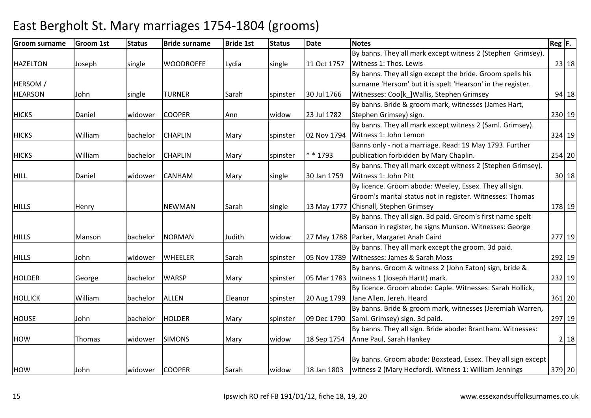#### Groom surnamee Groom 1st Status Bride surname Bride 1st Status Date Notes Reg F. Reg F. HAZELTON Joseph single WOODROFFE Lydia single 11 Oct 1757By banns. They all mark except witness 2 (Stephen Grimsey). Witness 1: Thos. Lewiss 23 | 18 HERSOM / **HEARSON** N John single TURNER Sarah spinster 30 Jul 1766 By banns. They all sign except the bride. Groom spells his surname 'Hersom' but it is spelt 'Hearson' in the register. Witnesses: Coo[k\_]Wallis, Stephen Grimsey <sup>94</sup> <sup>18</sup>HICKS Daniel widower COOPER Ann widow 23 Jul 1782By banns. Bride & groom mark, witnesses (James Hart, Stephen Grimsey) sign. 230 19HICKS William bachelor CHAPLIN Mary spinster 02 Nov 1794By banns. They all mark except witness 2 (Saml. Grimsey). Witness 1: John Lemonn 324 19 HICKS William bachelor CHAPLIN Mary spinster \* \* 1793Banns only - not a marriage. Read: 19 May 1793. Further publication forbidden by Mary Chaplin. 254 20HILL Daniel widower CANHAM Mary single 30 Jan 1759By banns. They all mark except witness 2 (Stephen Grimsey). Witness 1: John Pittt 30 18 HILLS Henry NEWMAN Sarah single 13 May 1777Chisnall, Stephen GrimseyBy licence. Groom abode: Weeley, Essex. They all sign. Groom's marital status not in register. Witnesses: Thomas <sup>178</sup> <sup>19</sup>HILLS Manson bachelor NORMAN Judith widow 27 May 1788Parker, Margaret Anah CairdBy banns. They all sign. 3d paid. Groom's first name spelt Manson in register, he signs Munson. Witnesses: George d 277| 19 HILLS John widower WHEELER Sarah spinster 05 Nov 1789By banns. They all mark except the groom. 3d paid. Witnesses: James & Sarah Moss <sup>292</sup> <sup>19</sup>HOLDER George bachelor WARSP Mary spinster 05 Mar 1783By banns. Groom & witness 2 (John Eaton) sign, bride & witness 1 (Joseph Hartt) mark. 232 19HOLLICK William bachelor ALLEN Eleanor spinster 20 Aug 1799By licence. Groom abode: Caple. Witnesses: Sarah Hollick, Jane Allen, Jereh. Heardd 361 20 HOUSE John bachelor HOLDER Mary spinster 09 Dec 1790By banns. Bride & groom mark, witnesses (Jeremiah Warren, Saml. Grimsey) sign. 3d paid. 297 19HOW Thomas widower SIMONS Mary widow 18 Sep 1754By banns. They all sign. Bride abode: Brantham. Witnesses: Anne Paul, Sarah Hankeyy 2 18 HOW John widower COOPER Sarah widow 18 Jan 1803By banns. Groom abode: Boxstead, Essex. They all sign except witness 2 (Mary Hecford). Witness 1: William Jennings<sup>379</sup> <sup>20</sup>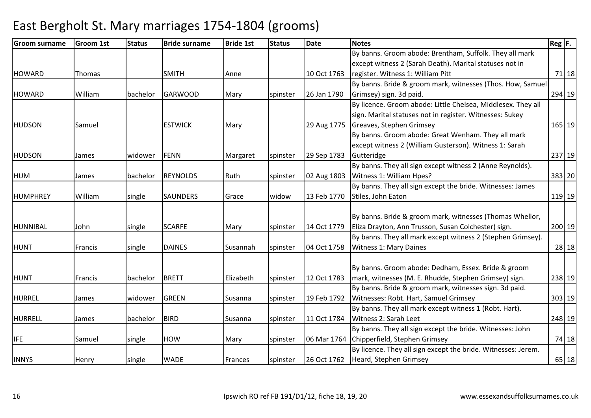| <b>Groom surname</b> | <b>Groom 1st</b> | <b>Status</b> | <b>Bride surname</b> | <b>Bride 1st</b> | <b>Status</b> | Date        | <b>Notes</b>                                                  | $Reg$ $F.$ |        |
|----------------------|------------------|---------------|----------------------|------------------|---------------|-------------|---------------------------------------------------------------|------------|--------|
|                      |                  |               |                      |                  |               |             | By banns. Groom abode: Brentham, Suffolk. They all mark       |            |        |
|                      |                  |               |                      |                  |               |             | except witness 2 (Sarah Death). Marital statuses not in       |            |        |
| <b>HOWARD</b>        | Thomas           |               | <b>SMITH</b>         | Anne             |               | 10 Oct 1763 | register. Witness 1: William Pitt                             |            | 71 18  |
|                      |                  |               |                      |                  |               |             | By banns. Bride & groom mark, witnesses (Thos. How, Samuel    |            |        |
| <b>HOWARD</b>        | William          | bachelor      | <b>GARWOOD</b>       | Mary             | spinster      | 26 Jan 1790 | Grimsey) sign. 3d paid.                                       |            | 294 19 |
|                      |                  |               |                      |                  |               |             | By licence. Groom abode: Little Chelsea, Middlesex. They all  |            |        |
|                      |                  |               |                      |                  |               |             | sign. Marital statuses not in register. Witnesses: Sukey      |            |        |
| <b>HUDSON</b>        | Samuel           |               | <b>ESTWICK</b>       | Mary             |               | 29 Aug 1775 | Greaves, Stephen Grimsey                                      |            | 165 19 |
|                      |                  |               |                      |                  |               |             | By banns. Groom abode: Great Wenham. They all mark            |            |        |
|                      |                  |               |                      |                  |               |             | except witness 2 (William Gusterson). Witness 1: Sarah        |            |        |
| <b>HUDSON</b>        | James            | widower       | <b>FENN</b>          | Margaret         | spinster      | 29 Sep 1783 | Gutteridge                                                    |            | 237 19 |
|                      |                  |               |                      |                  |               |             | By banns. They all sign except witness 2 (Anne Reynolds).     |            |        |
| <b>HUM</b>           | James            | bachelor      | <b>REYNOLDS</b>      | Ruth             | spinster      | 02 Aug 1803 | Witness 1: William Hpes?                                      |            | 383 20 |
|                      |                  |               |                      |                  |               |             | By banns. They all sign except the bride. Witnesses: James    |            |        |
| HUMPHREY             | William          | single        | <b>SAUNDERS</b>      | Grace            | widow         | 13 Feb 1770 | Stiles, John Eaton                                            |            | 119 19 |
|                      |                  |               |                      |                  |               |             |                                                               |            |        |
|                      |                  |               |                      |                  |               |             | By banns. Bride & groom mark, witnesses (Thomas Whellor,      |            |        |
| HUNNIBAL             | John             | single        | <b>SCARFE</b>        | Mary             | spinster      | 14 Oct 1779 | Eliza Drayton, Ann Trusson, Susan Colchester) sign.           |            | 200 19 |
|                      |                  |               |                      |                  |               |             | By banns. They all mark except witness 2 (Stephen Grimsey).   |            |        |
| <b>HUNT</b>          | Francis          | single        | <b>DAINES</b>        | Susannah         | spinster      | 04 Oct 1758 | <b>Witness 1: Mary Daines</b>                                 |            | 28 18  |
|                      |                  |               |                      |                  |               |             |                                                               |            |        |
|                      |                  |               |                      |                  |               |             | By banns. Groom abode: Dedham, Essex. Bride & groom           |            |        |
| <b>HUNT</b>          | Francis          | bachelor      | <b>BRETT</b>         | Elizabeth        | spinster      | 12 Oct 1783 | mark, witnesses (M. E. Rhudde, Stephen Grimsey) sign.         |            | 238 19 |
|                      |                  |               |                      |                  |               |             | By banns. Bride & groom mark, witnesses sign. 3d paid.        |            |        |
| <b>HURREL</b>        | James            | widower       | <b>GREEN</b>         | Susanna          | spinster      | 19 Feb 1792 | Witnesses: Robt. Hart, Samuel Grimsey                         |            | 303 19 |
|                      |                  |               |                      |                  |               |             | By banns. They all mark except witness 1 (Robt. Hart).        |            |        |
| HURRELL              | James            | bachelor      | <b>BIRD</b>          | Susanna          | spinster      | 11 Oct 1784 | Witness 2: Sarah Leet                                         |            | 248 19 |
|                      |                  |               |                      |                  |               |             | By banns. They all sign except the bride. Witnesses: John     |            |        |
| <b>IFE</b>           | Samuel           | single        | <b>HOW</b>           | Mary             | spinster      | 06 Mar 1764 | Chipperfield, Stephen Grimsey                                 |            | 74 18  |
|                      |                  |               |                      |                  |               |             | By licence. They all sign except the bride. Witnesses: Jerem. |            |        |
| <b>INNYS</b>         | Henry            | single        | <b>WADE</b>          | Frances          | spinster      | 26 Oct 1762 | Heard, Stephen Grimsey                                        |            | 65 18  |
|                      |                  |               |                      |                  |               |             |                                                               |            |        |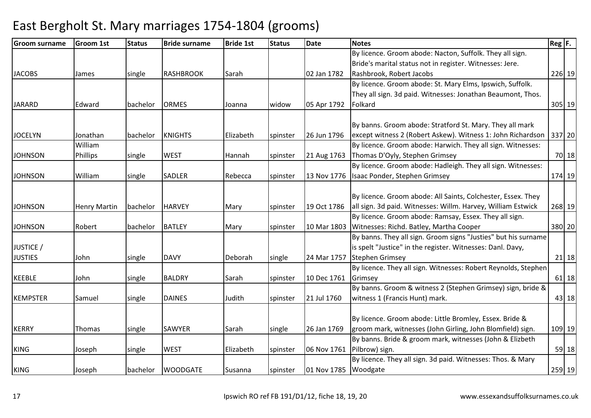| <b>Groom surname</b> | <b>Groom 1st</b>    | <b>Status</b> | <b>Bride surname</b> | <b>Bride 1st</b> | <b>Status</b> | <b>Date</b>          | <b>Notes</b>                                                   | $Reg$ $F.$ |         |
|----------------------|---------------------|---------------|----------------------|------------------|---------------|----------------------|----------------------------------------------------------------|------------|---------|
|                      |                     |               |                      |                  |               |                      | By licence. Groom abode: Nacton, Suffolk. They all sign.       |            |         |
|                      |                     |               |                      |                  |               |                      | Bride's marital status not in register. Witnesses: Jere.       |            |         |
| <b>JACOBS</b>        | James               | single        | <b>RASHBROOK</b>     | Sarah            |               | 02 Jan 1782          | Rashbrook, Robert Jacobs                                       |            | 226 19  |
|                      |                     |               |                      |                  |               |                      | By licence. Groom abode: St. Mary Elms, Ipswich, Suffolk.      |            |         |
|                      |                     |               |                      |                  |               |                      | They all sign. 3d paid. Witnesses: Jonathan Beaumont, Thos.    |            |         |
| <b>JARARD</b>        | Edward              | bachelor      | <b>ORMES</b>         | Joanna           | widow         | 05 Apr 1792          | Folkard                                                        |            | 305 19  |
|                      |                     |               |                      |                  |               |                      |                                                                |            |         |
|                      |                     |               |                      |                  |               |                      | By banns. Groom abode: Stratford St. Mary. They all mark       |            |         |
| <b>JOCELYN</b>       | Jonathan            | bachelor      | <b>KNIGHTS</b>       | Elizabeth        | spinster      | 26 Jun 1796          | except witness 2 (Robert Askew). Witness 1: John Richardson    |            | 337 20  |
|                      | William             |               |                      |                  |               |                      | By licence. Groom abode: Harwich. They all sign. Witnesses:    |            |         |
| <b>JOHNSON</b>       | Phillips            | single        | <b>WEST</b>          | Hannah           | spinster      | 21 Aug 1763          | Thomas D'Oyly, Stephen Grimsey                                 |            | 70 18   |
|                      |                     |               |                      |                  |               |                      | By licence. Groom abode: Hadleigh. They all sign. Witnesses:   |            |         |
| <b>JOHNSON</b>       | William             | single        | <b>SADLER</b>        | Rebecca          | spinster      | 13 Nov 1776          | Isaac Ponder, Stephen Grimsey                                  |            | 174 19  |
|                      |                     |               |                      |                  |               |                      |                                                                |            |         |
|                      |                     |               |                      |                  |               |                      | By licence. Groom abode: All Saints, Colchester, Essex. They   |            |         |
| <b>JOHNSON</b>       | <b>Henry Martin</b> | bachelor      | <b>HARVEY</b>        | Mary             | spinster      | 19 Oct 1786          | all sign. 3d paid. Witnesses: Willm. Harvey, William Estwick   |            | 268 19  |
|                      |                     |               |                      |                  |               |                      | By licence. Groom abode: Ramsay, Essex. They all sign.         |            |         |
| <b>JOHNSON</b>       | Robert              | bachelor      | <b>BATLEY</b>        | Mary             | spinster      |                      | 10 Mar 1803 Witnesses: Richd. Batley, Martha Cooper            |            | 380 20  |
|                      |                     |               |                      |                  |               |                      | By banns. They all sign. Groom signs "Justies" but his surname |            |         |
| JUSTICE /            |                     |               |                      |                  |               |                      | is spelt "Justice" in the register. Witnesses: Danl. Davy,     |            |         |
| <b>JUSTIES</b>       | John                | single        | <b>DAVY</b>          | Deborah          | single        | 24 Mar 1757          | Stephen Grimsey                                                |            | $21$ 18 |
|                      |                     |               |                      |                  |               |                      | By licence. They all sign. Witnesses: Robert Reynolds, Stephen |            |         |
| <b>KEEBLE</b>        | John                | single        | <b>BALDRY</b>        | Sarah            | spinster      | 10 Dec 1761          | Grimsey                                                        |            | $61$ 18 |
|                      |                     |               |                      |                  |               |                      | By banns. Groom & witness 2 (Stephen Grimsey) sign, bride &    |            |         |
| <b>KEMPSTER</b>      | Samuel              | single        | <b>DAINES</b>        | Judith           | spinster      | 21 Jul 1760          | witness 1 (Francis Hunt) mark.                                 |            | 43 18   |
|                      |                     |               |                      |                  |               |                      |                                                                |            |         |
|                      |                     |               |                      |                  |               |                      | By licence. Groom abode: Little Bromley, Essex. Bride &        |            |         |
| <b>KERRY</b>         | Thomas              | single        | <b>SAWYER</b>        | Sarah            | single        | 26 Jan 1769          | groom mark, witnesses (John Girling, John Blomfield) sign.     |            | 109 19  |
|                      |                     |               |                      |                  |               |                      | By banns. Bride & groom mark, witnesses (John & Elizbeth       |            |         |
| <b>KING</b>          | Joseph              | single        | <b>WEST</b>          | Elizabeth        | spinster      | 06 Nov 1761          | Pilbrow) sign.                                                 |            | 59 18   |
|                      |                     |               |                      |                  |               |                      | By licence. They all sign. 3d paid. Witnesses: Thos. & Mary    |            |         |
| <b>KING</b>          | Joseph              | bachelor      | <b>WOODGATE</b>      | Susanna          | spinster      | 01 Nov 1785 Woodgate |                                                                |            | 259 19  |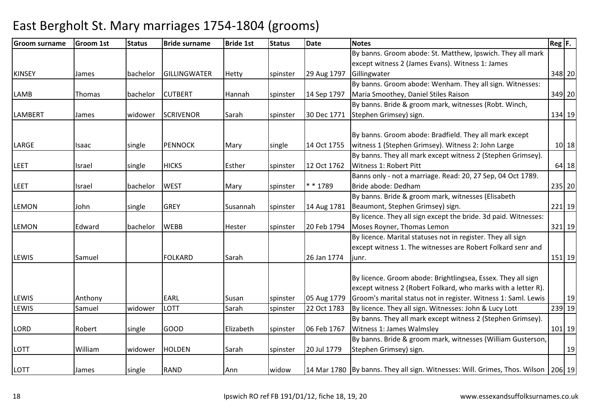| <b>Groom surname</b> | <b>Groom 1st</b> | <b>Status</b> | <b>Bride surname</b> | <b>Bride 1st</b> | <b>Status</b> | <b>Date</b> | <b>Notes</b>                                                               | $Reg$ $F.$ |
|----------------------|------------------|---------------|----------------------|------------------|---------------|-------------|----------------------------------------------------------------------------|------------|
|                      |                  |               |                      |                  |               |             | By banns. Groom abode: St. Matthew, Ipswich. They all mark                 |            |
|                      |                  |               |                      |                  |               |             | except witness 2 (James Evans). Witness 1: James                           |            |
| <b>KINSEY</b>        | James            | bachelor      | GILLINGWATER         | Hetty            | spinster      | 29 Aug 1797 | Gillingwater                                                               | 348 20     |
|                      |                  |               |                      |                  |               |             | By banns. Groom abode: Wenham. They all sign. Witnesses:                   |            |
| LAMB                 | Thomas           | bachelor      | <b>CUTBERT</b>       | Hannah           | spinster      | 14 Sep 1797 | Maria Smoothey, Daniel Stiles Raison                                       | 349 20     |
|                      |                  |               |                      |                  |               |             | By banns. Bride & groom mark, witnesses (Robt. Winch,                      |            |
| <b>LAMBERT</b>       | James            | widower       | <b>SCRIVENOR</b>     | Sarah            | spinster      | 30 Dec 1771 | Stephen Grimsey) sign.                                                     | 134 19     |
|                      |                  |               |                      |                  |               |             |                                                                            |            |
|                      |                  |               |                      |                  |               |             | By banns. Groom abode: Bradfield. They all mark except                     |            |
| LARGE                | Isaac            | single        | <b>PENNOCK</b>       | Mary             | single        | 14 Oct 1755 | witness 1 (Stephen Grimsey). Witness 2: John Large                         | $10$ 18    |
|                      |                  |               |                      |                  |               |             | By banns. They all mark except witness 2 (Stephen Grimsey).                |            |
| <b>LEET</b>          | Israel           | single        | <b>HICKS</b>         | Esther           | spinster      | 12 Oct 1762 | Witness 1: Robert Pitt                                                     | 64 18      |
|                      |                  |               |                      |                  |               |             | Banns only - not a marriage. Read: 20, 27 Sep, 04 Oct 1789.                |            |
| <b>LEET</b>          | Israel           | bachelor      | <b>WEST</b>          | Mary             | spinster      | * * 1789    | Bride abode: Dedham                                                        | 235 20     |
|                      |                  |               |                      |                  |               |             | By banns. Bride & groom mark, witnesses (Elisabeth                         |            |
| <b>LEMON</b>         | John             | single        | <b>GREY</b>          | Susannah         | spinster      | 14 Aug 1781 | Beaumont, Stephen Grimsey) sign.                                           | 221 19     |
|                      |                  |               |                      |                  |               |             | By licence. They all sign except the bride. 3d paid. Witnesses:            |            |
| <b>LEMON</b>         | Edward           | bachelor      | <b>WEBB</b>          | Hester           | spinster      | 20 Feb 1794 | Moses Royner, Thomas Lemon                                                 | 321 19     |
|                      |                  |               |                      |                  |               |             | By licence. Marital statuses not in register. They all sign                |            |
|                      |                  |               |                      |                  |               |             | except witness 1. The witnesses are Robert Folkard senr and                |            |
| <b>LEWIS</b>         | Samuel           |               | <b>FOLKARD</b>       | Sarah            |               | 26 Jan 1774 | liunr.                                                                     | 151 19     |
|                      |                  |               |                      |                  |               |             |                                                                            |            |
|                      |                  |               |                      |                  |               |             | By licence. Groom abode: Brightlingsea, Essex. They all sign               |            |
|                      |                  |               |                      |                  |               |             | except witness 2 (Robert Folkard, who marks with a letter R).              |            |
| <b>LEWIS</b>         | Anthony          |               | <b>EARL</b>          | Susan            | spinster      | 05 Aug 1779 | Groom's marital status not in register. Witness 1: Saml. Lewis             | 19         |
| LEWIS                | Samuel           | widower       | <b>LOTT</b>          | Sarah            | spinster      | 22 Oct 1783 | By licence. They all sign. Witnesses: John & Lucy Lott                     | 239 19     |
|                      |                  |               |                      |                  |               |             | By banns. They all mark except witness 2 (Stephen Grimsey).                |            |
| <b>LORD</b>          | Robert           | single        | <b>GOOD</b>          | Elizabeth        | spinster      | 06 Feb 1767 | Witness 1: James Walmsley                                                  | $101$ 19   |
|                      |                  |               |                      |                  |               |             | By banns. Bride & groom mark, witnesses (William Gusterson,                |            |
| <b>LOTT</b>          | William          | widower       | <b>HOLDEN</b>        | Sarah            | spinster      | 20 Jul 1779 | Stephen Grimsey) sign.                                                     | 19         |
|                      |                  |               |                      |                  |               |             |                                                                            |            |
| LOTT                 | James            | single        | <b>RAND</b>          | Ann              | widow         |             | 14 Mar 1780 By banns. They all sign. Witnesses: Will. Grimes, Thos. Wilson | 206 19     |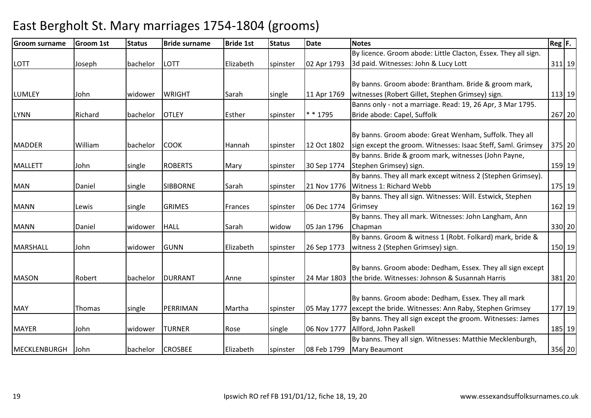#### Groom surnamee Groom 1st Status Bride surname Bride 1st Status Date Notes Reg F. Reg F. LOTT Joseph bachelor LOTT Elizabeth spinster 02 Apr 1793By licence. Groom abode: Little Clacton, Essex. They all sign. 3d paid. Witnesses: John & Lucy Lott <sup>311</sup> <sup>19</sup>LUMLEY John widower WRIGHT Sarah Single 11 Apr 1769 By banns. Groom abode: Brantham. Bride & groom mark, witnesses (Robert Gillet, Stephen Grimsey) sign. 113 19LYNN Richard bachelor OTLEY Esther spinster \* \* 1795Banns only - not a marriage. Read: 19, 26 Apr, 3 Mar 1795. Bride abode: Capel, Suffolk <sup>267</sup> <sup>20</sup>MADDER William bachelor COOK Hannah spinster 12 Oct 1802By banns. Groom abode: Great Wenham, Suffolk. They all sign except the groom. Witnesses: Isaac Steff, Saml. Grimsey <sup>375</sup> <sup>20</sup>MALLETT John single ROBERTS Mary spinster 30 Sep 1774By banns. Bride & groom mark, witnesses (John Payne, Stephen Grimsey) sign. 159 19MAN Daniel single SIBBORNE Sarah spinster 21 Nov 1776By banns. They all mark except witness 2 (Stephen Grimsey). Witness 1: Richard Webbb 175 19 MANN Lewis Isingle GRIMES Frances Ispinster 106 Dec 1774 By banns. They all sign. Witnesses: Will. Estwick, Stephen Grimseyy 162 19 MANN Daniel widower HALL Sarah widow 05 Jan 1796By banns. They all mark. Witnesses: John Langham, Ann Chapmann 330 20 MARSHALL John widower GUNN Elizabeth spinster 26 Sep 1773By banns. Groom & witness 1 (Robt. Folkard) mark, bride & witness 2 (Stephen Grimsey) sign. 150 19MASON Robert bachelor DURRANT Anne spinster 24 Mar 1803By banns. Groom abode: Dedham, Essex. They all sign except the bride. Witnesses: Johnson & Susannah Harris <sup>381</sup> <sup>20</sup>MAY Thomas single PERRIMAN Martha spinster 05 May 1777except the bride. Witnesses: Ann Raby, Stephen GrimseyBy banns. Groom abode: Dedham, Essex. They all mark <sup>177</sup> <sup>19</sup>MAYER John widower TURNER Rose single 06 Nov 1777By banns. They all sign except the groom. Witnesses: James Allford, John Paskell 185 19MECKLENBURGH John bachelor CROSBEE Elizabeth spinster 08 Feb 1799By banns. They all sign. Witnesses: Matthie Mecklenburgh, Mary Beaumontt 356 20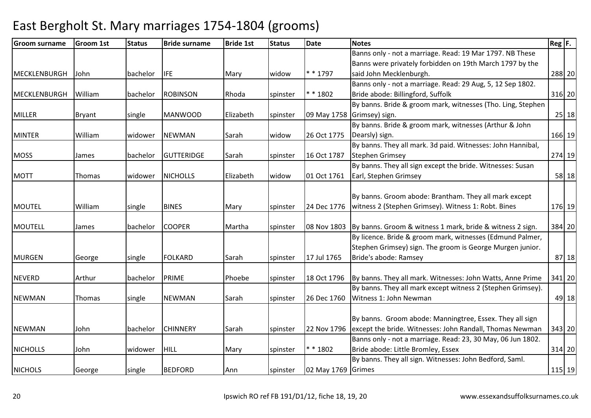| <b>Groom surname</b> | <b>Groom 1st</b> | <b>Status</b> | <b>Bride surname</b> | <b>Bride 1st</b> | <b>Status</b> | <b>Date</b>        | <b>Notes</b>                                                          | $Reg$ $F.$ |
|----------------------|------------------|---------------|----------------------|------------------|---------------|--------------------|-----------------------------------------------------------------------|------------|
|                      |                  |               |                      |                  |               |                    | Banns only - not a marriage. Read: 19 Mar 1797. NB These              |            |
|                      |                  |               |                      |                  |               |                    | Banns were privately forbidden on 19th March 1797 by the              |            |
| MECKLENBURGH         | John             | bachelor      | <b>I</b> IFE         | Mary             | widow         | $* * 1797$         | said John Mecklenburgh.                                               | 288 20     |
|                      |                  |               |                      |                  |               |                    | Banns only - not a marriage. Read: 29 Aug, 5, 12 Sep 1802.            |            |
| MECKLENBURGH         | William          | bachelor      | <b>ROBINSON</b>      | Rhoda            | spinster      | * * 1802           | Bride abode: Billingford, Suffolk                                     | 316 20     |
|                      |                  |               |                      |                  |               |                    | By banns. Bride & groom mark, witnesses (Tho. Ling, Stephen           |            |
| <b>MILLER</b>        | <b>Bryant</b>    | single        | <b>MANWOOD</b>       | Elizabeth        | spinster      |                    | 09 May 1758 Grimsey) sign.                                            | 25 18      |
|                      |                  |               |                      |                  |               |                    | By banns. Bride & groom mark, witnesses (Arthur & John                |            |
| <b>MINTER</b>        | William          | widower       | <b>NEWMAN</b>        | Sarah            | widow         | 26 Oct 1775        | Dearsly) sign.                                                        | 166 19     |
|                      |                  |               |                      |                  |               |                    | By banns. They all mark. 3d paid. Witnesses: John Hannibal,           |            |
| <b>MOSS</b>          | James            | bachelor      | <b>GUTTERIDGE</b>    | Sarah            | spinster      | 16 Oct 1787        | <b>Stephen Grimsey</b>                                                | 274 19     |
|                      |                  |               |                      |                  |               |                    | By banns. They all sign except the bride. Witnesses: Susan            |            |
| <b>MOTT</b>          | Thomas           | widower       | <b>NICHOLLS</b>      | Elizabeth        | widow         | 01 Oct 1761        | Earl, Stephen Grimsey                                                 | 58 18      |
|                      |                  |               |                      |                  |               |                    |                                                                       |            |
|                      |                  |               |                      |                  |               |                    | By banns. Groom abode: Brantham. They all mark except                 |            |
| <b>MOUTEL</b>        | William          | single        | <b>BINES</b>         | Mary             | spinster      | 24 Dec 1776        | witness 2 (Stephen Grimsey). Witness 1: Robt. Bines                   | 176 19     |
|                      |                  |               |                      |                  |               |                    |                                                                       |            |
| MOUTELL              | James            | bachelor      | <b>COOPER</b>        | Martha           | spinster      | 08 Nov 1803        | By banns. Groom & witness 1 mark, bride & witness 2 sign.             | 384 20     |
|                      |                  |               |                      |                  |               |                    | By licence. Bride & groom mark, witnesses (Edmund Palmer,             |            |
|                      |                  |               |                      |                  |               |                    | Stephen Grimsey) sign. The groom is George Murgen junior.             |            |
| <b>MURGEN</b>        | George           | single        | <b>FOLKARD</b>       | Sarah            | spinster      | 17 Jul 1765        | Bride's abode: Ramsey                                                 | 87 18      |
|                      |                  |               |                      |                  |               |                    |                                                                       |            |
| <b>NEVERD</b>        | Arthur           | bachelor      | PRIME                | Phoebe           | spinster      | 18 Oct 1796        | By banns. They all mark. Witnesses: John Watts, Anne Prime            | 341 20     |
|                      |                  |               |                      |                  |               |                    | By banns. They all mark except witness 2 (Stephen Grimsey).           |            |
| <b>NEWMAN</b>        | Thomas           | single        | <b>NEWMAN</b>        | Sarah            | spinster      | 26 Dec 1760        | Witness 1: John Newman                                                | 49 18      |
|                      |                  |               |                      |                  |               |                    |                                                                       |            |
|                      |                  |               |                      |                  |               |                    | By banns. Groom abode: Manningtree, Essex. They all sign              |            |
| <b>NEWMAN</b>        | John             | bachelor      | <b>CHINNERY</b>      | Sarah            | spinster      |                    | 22 Nov 1796 lexcept the bride. Witnesses: John Randall, Thomas Newman | 343 20     |
|                      |                  |               |                      |                  |               |                    | Banns only - not a marriage. Read: 23, 30 May, 06 Jun 1802.           |            |
| <b>NICHOLLS</b>      | John             | widower       | <b>HILL</b>          | Mary             | spinster      | $* * 1802$         | Bride abode: Little Bromley, Essex                                    | $314$ 20   |
|                      |                  |               |                      |                  |               |                    | By banns. They all sign. Witnesses: John Bedford, Saml.               |            |
| <b>NICHOLS</b>       | George           | single        | <b>BEDFORD</b>       | Ann              | spinster      | 02 May 1769 Grimes |                                                                       | 115 19     |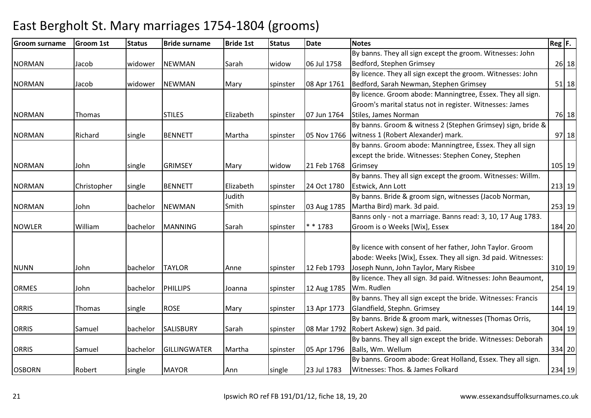#### Groom surnamee Groom 1st Status Bride surname Bride 1st Status Date Notes Reg F. Reg F. NORMAN Jacob widower NEWMAN Sarah widow 06 Jul 1758By banns. They all sign except the groom. Witnesses: John Bedford, Stephen Grimseyy 26 18 NORMAN Jacob widower NEWMAN Mary spinster 08 Apr 1761By licence. They all sign except the groom. Witnesses: John Bedford, Sarah Newman, Stephen Grimsey <sup>51</sup> <sup>18</sup>NORMAN Thomas STILES Elizabeth spinster 07 Jun 1764By licence. Groom abode: Manningtree, Essex. They all sign. Groom's marital status not in register. Witnesses: James Stiles, James Normann 76 18 NORMAN Richard single BENNETT Martha spinster 05 Nov 1766By banns. Groom & witness 2 (Stephen Grimsey) sign, bride & witness 1 (Robert Alexander) mark. 97 18NORMAN John Single GRIMSEY Mary Widow 21 Feb 1768 By banns. Groom abode: Manningtree, Essex. They all sign except the bride. Witnesses: Stephen Coney, Stephen **Grimsey** y 105 19 NORMAN Christopher single BENNETT Elizabeth spinster 24 Oct 1780By banns. They all sign except the groom. Witnesses: Willm. Estwick, Ann Lott <sup>213</sup> <sup>19</sup>NORMAN John bachelor NEWMANJudith Smith spinster 03 Aug 1785By banns. Bride & groom sign, witnesses (Jacob Norman, Martha Bird) mark. 3d paid. 253 19NOWLER William bachelor MANNING Sarah spinster \* \* 1783Banns only - not a marriage. Banns read: 3, 10, 17 Aug 1783. Groom is o Weeks [Wix], Essex <sup>184</sup> <sup>20</sup>NUNN John bachelor TAYLOR Anne spinster 12 Feb 1793By licence with consent of her father, John Taylor. Groom abode: Weeks [Wix], Essex. They all sign. 3d paid. Witnesses: Joseph Nunn, John Taylor, Mary Risbee <sup>310</sup> <sup>19</sup>ORMES John bachelor PHILLIPS Joanna spinster 12 Aug 1785By licence. They all sign. 3d paid. Witnesses: John Beaumont, Wm. Rudlenn 254 19 ORRIS Thomas single ROSE Mary spinster 13 Apr 1773 By banns. They all sign except the bride. Witnesses: Francis Glandfield, Stephn. Grimsey <sup>144</sup> <sup>19</sup>ORRIS Samuel bachelor SALISBURY Sarah spinster 08 Mar 1792Robert Askew) sign. 3d paid.By banns. Bride & groom mark, witnesses (Thomas Orris, 304 19ORRIS Samuel bachelor GILLINGWATER Martha spinster 05 Apr 1796By banns. They all sign except the bride. Witnesses: Deborah Balls, Wm. Wellum <sup>334</sup> <sup>20</sup> By banns. Groom abode: Great Holland, Essex. They all sign. OSBORN Robert single MAYOR Ann single 23 Jul 1783Witnesses: Thos. & James Folkard<sup>234</sup> <sup>19</sup>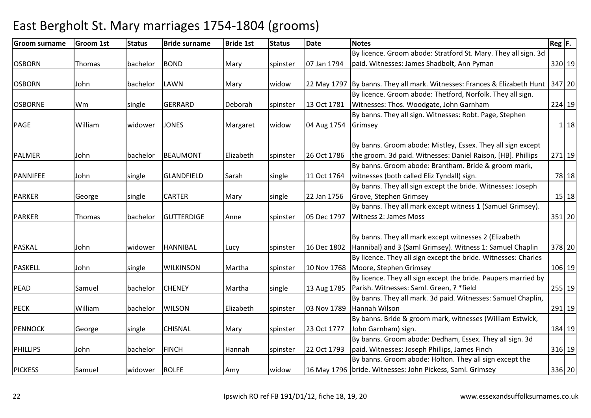#### Groom surnamee Groom 1st Status Bride surname Bride 1st Status Date Notes Reg F. Reg F. OSBORN Thomas bachelor BOND Mary spinster 07 Jan 1794By licence. Groom abode: Stratford St. Mary. They all sign. 3d paid. Witnesses: James Shadbolt, Ann Pyman <sup>320</sup> <sup>19</sup>OSBORN John bachelor LAWN Mary widow 22 May 1797 By banns. They all mark. Witnesses: Frances & Elizabeth Hunt 347 20 OSBORNE Wm single GERRARD Deborah spinster 13 Oct 1781By licence. Groom abode: Thetford, Norfolk. They all sign. Witnesses: Thos. Woodgate, John Garnham <sup>224</sup> <sup>19</sup> By banns. They all sign. Witnesses: Robt. Page, Stephen PAGE William William Wedower JONES Margaret Widow 04 Aug 1754 **Grimsey**  <sup>1</sup> <sup>18</sup>PALMER John bachelor BEAUMONT Elizabeth spinster 26 Oct 1786By banns. Groom abode: Mistley, Essex. They all sign except the groom. 3d paid. Witnesses: Daniel Raison, [HB]. Phillips <sup>271</sup> <sup>19</sup>PANNIFEE John Single GLANDFIELD Sarah Single 11 Oct 1764 By banns. Groom abode: Brantham. Bride & groom mark, witnesses (both called Eliz Tyndall) sign. 78 18PARKER George Single CARTER Mary Single 22 Jan 1756 By banns. They all sign except the bride. Witnesses: Joseph Grove, Stephen Grimseyy 15 18 PARKER Thomas bachelor GUTTERDIGE Anne spinster 05 Dec 1797 By banns. They all mark except witness 1 (Samuel Grimsey). Witness 2: James Moss <sup>351</sup> <sup>20</sup>PASKAL John widower HANNIBAL Lucy spinster 16 Dec 1802By banns. They all mark except witnesses 2 (Elizabeth Hannibal) and 3 (Saml Grimsey). Witness 1: Samuel Chaplin <sup>378</sup> <sup>20</sup>PASKELL 30 | John single WILKINSON Martha Spinster 10 Nov 1768 By licence. They all sign except the bride. Witnesses: Charles Moore, Stephen Grimsey <sup>106</sup> <sup>19</sup>PEAD Samuel bachelor CHENEY Martha single 13 Aug 1785Parish. Witnesses: Saml. Green, ? \*fieldBy licence. They all sign except the bride. Paupers married by <sup>255</sup> <sup>19</sup>PECK William bachelor WILSON Elizabeth spinster 03 Nov 1789By banns. They all mark. 3d paid. Witnesses: Samuel Chaplin, Hannah Wilson <sup>291</sup> <sup>19</sup>PENNOCK George Isingle CHISNAL Mary Spinster 23 Oct 1777 By banns. Bride & groom mark, witnesses (William Estwick, John Garnham) sign. 184 19PHILLIPS John bachelor FINCH Hannah spinster 22 Oct 1793By banns. Groom abode: Dedham, Essex. They all sign. 3d paid. Witnesses: Joseph Phillips, James Finch <sup>316</sup> <sup>19</sup>PICKESS Samuel widower ROLFE Amy widow 16 May 1796By banns. Groom abode: Holton. They all sign except the 16 May 1796 Ibride. Witnesses: John Pickess, Saml. Grimsey <sup>336</sup> <sup>20</sup>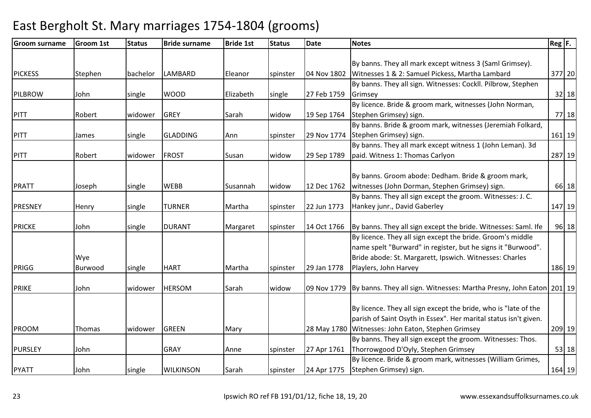| <b>Groom 1st</b> | <b>Status</b>           | <b>Bride surname</b> | <b>Bride 1st</b>            | <b>Status</b> | Date                 | <b>Notes</b>                                                   |                                                                                                                                                                                                                                                                                                                                                                                                                                                                                           |                                                                                                |
|------------------|-------------------------|----------------------|-----------------------------|---------------|----------------------|----------------------------------------------------------------|-------------------------------------------------------------------------------------------------------------------------------------------------------------------------------------------------------------------------------------------------------------------------------------------------------------------------------------------------------------------------------------------------------------------------------------------------------------------------------------------|------------------------------------------------------------------------------------------------|
|                  |                         |                      |                             |               |                      |                                                                |                                                                                                                                                                                                                                                                                                                                                                                                                                                                                           |                                                                                                |
|                  |                         |                      |                             |               |                      | By banns. They all mark except witness 3 (Saml Grimsey).       |                                                                                                                                                                                                                                                                                                                                                                                                                                                                                           |                                                                                                |
| Stephen          | bachelor                | <b>LAMBARD</b>       | Eleanor                     | spinster      | 04 Nov 1802          | Witnesses 1 & 2: Samuel Pickess, Martha Lambard                |                                                                                                                                                                                                                                                                                                                                                                                                                                                                                           | 377 20                                                                                         |
|                  |                         |                      |                             |               |                      | By banns. They all sign. Witnesses: Cockll. Pilbrow, Stephen   |                                                                                                                                                                                                                                                                                                                                                                                                                                                                                           |                                                                                                |
| John             | single                  | <b>WOOD</b>          | Elizabeth                   | single        | 27 Feb 1759          | Grimsey                                                        |                                                                                                                                                                                                                                                                                                                                                                                                                                                                                           | $32$ 18                                                                                        |
|                  |                         |                      |                             |               |                      | By licence. Bride & groom mark, witnesses (John Norman,        |                                                                                                                                                                                                                                                                                                                                                                                                                                                                                           |                                                                                                |
| Robert           | widower                 | <b>GREY</b>          | Sarah                       | widow         | 19 Sep 1764          | Stephen Grimsey) sign.                                         |                                                                                                                                                                                                                                                                                                                                                                                                                                                                                           | 77 18                                                                                          |
|                  |                         |                      |                             |               |                      | By banns. Bride & groom mark, witnesses (Jeremiah Folkard,     |                                                                                                                                                                                                                                                                                                                                                                                                                                                                                           |                                                                                                |
| James            | single                  | <b>GLADDING</b>      | Ann                         | spinster      |                      |                                                                |                                                                                                                                                                                                                                                                                                                                                                                                                                                                                           | $161$ 19                                                                                       |
|                  |                         |                      |                             |               |                      | By banns. They all mark except witness 1 (John Leman). 3d      |                                                                                                                                                                                                                                                                                                                                                                                                                                                                                           |                                                                                                |
| Robert           | widower                 | <b>FROST</b>         | Susan                       | widow         | 29 Sep 1789          | paid. Witness 1: Thomas Carlyon                                |                                                                                                                                                                                                                                                                                                                                                                                                                                                                                           | 287 19                                                                                         |
|                  |                         |                      |                             |               |                      |                                                                |                                                                                                                                                                                                                                                                                                                                                                                                                                                                                           |                                                                                                |
|                  |                         |                      |                             |               |                      | By banns. Groom abode: Dedham. Bride & groom mark,             |                                                                                                                                                                                                                                                                                                                                                                                                                                                                                           |                                                                                                |
| Joseph           | single                  | <b>WEBB</b>          | Susannah                    | widow         | 12 Dec 1762          | witnesses (John Dorman, Stephen Grimsey) sign.                 |                                                                                                                                                                                                                                                                                                                                                                                                                                                                                           | 66 18                                                                                          |
|                  |                         |                      |                             |               |                      | By banns. They all sign except the groom. Witnesses: J. C.     |                                                                                                                                                                                                                                                                                                                                                                                                                                                                                           |                                                                                                |
|                  | single                  | <b>TURNER</b>        | Martha                      | spinster      | 22 Jun 1773          | Hankey junr., David Gaberley                                   |                                                                                                                                                                                                                                                                                                                                                                                                                                                                                           | 147 19                                                                                         |
|                  |                         |                      |                             |               |                      |                                                                |                                                                                                                                                                                                                                                                                                                                                                                                                                                                                           |                                                                                                |
| John             | single                  | <b>DURANT</b>        | Margaret                    | spinster      | 14 Oct 1766          | By banns. They all sign except the bride. Witnesses: Saml. Ife |                                                                                                                                                                                                                                                                                                                                                                                                                                                                                           | 96 18                                                                                          |
|                  |                         |                      |                             |               |                      |                                                                |                                                                                                                                                                                                                                                                                                                                                                                                                                                                                           |                                                                                                |
|                  |                         |                      |                             |               |                      | name spelt "Burward" in register, but he signs it "Burwood".   |                                                                                                                                                                                                                                                                                                                                                                                                                                                                                           |                                                                                                |
| Wye              |                         |                      |                             |               |                      | Bride abode: St. Margarett, Ipswich. Witnesses: Charles        |                                                                                                                                                                                                                                                                                                                                                                                                                                                                                           |                                                                                                |
| Burwood          |                         | <b>HART</b>          | Martha                      |               |                      |                                                                |                                                                                                                                                                                                                                                                                                                                                                                                                                                                                           | 186 19                                                                                         |
|                  |                         |                      |                             |               |                      |                                                                |                                                                                                                                                                                                                                                                                                                                                                                                                                                                                           |                                                                                                |
| John             | widower                 | <b>HERSOM</b>        | Sarah                       | widow         |                      |                                                                |                                                                                                                                                                                                                                                                                                                                                                                                                                                                                           |                                                                                                |
|                  |                         |                      |                             |               |                      |                                                                |                                                                                                                                                                                                                                                                                                                                                                                                                                                                                           |                                                                                                |
|                  |                         |                      |                             |               |                      |                                                                |                                                                                                                                                                                                                                                                                                                                                                                                                                                                                           |                                                                                                |
|                  |                         |                      |                             |               |                      |                                                                |                                                                                                                                                                                                                                                                                                                                                                                                                                                                                           |                                                                                                |
|                  |                         |                      |                             |               |                      |                                                                |                                                                                                                                                                                                                                                                                                                                                                                                                                                                                           | 209 19                                                                                         |
|                  |                         |                      |                             |               |                      |                                                                |                                                                                                                                                                                                                                                                                                                                                                                                                                                                                           |                                                                                                |
|                  |                         |                      |                             |               |                      |                                                                |                                                                                                                                                                                                                                                                                                                                                                                                                                                                                           | $53$ 18                                                                                        |
|                  |                         |                      |                             |               |                      |                                                                |                                                                                                                                                                                                                                                                                                                                                                                                                                                                                           |                                                                                                |
| John             | single                  | <b>WILKINSON</b>     | Sarah                       | spinster      | 24 Apr 1775          | Stephen Grimsey) sign.                                         |                                                                                                                                                                                                                                                                                                                                                                                                                                                                                           | 164 19                                                                                         |
|                  | Henry<br>Thomas<br>John | single<br>widower    | <b>GREEN</b><br><b>GRAY</b> | Mary<br>Anne  | spinster<br>spinster | 29 Jan 1778<br>27 Apr 1761                                     | 29 Nov 1774 Stephen Grimsey) sign.<br>By licence. They all sign except the bride. Groom's middle<br>Playlers, John Harvey<br>By licence. They all sign except the bride, who is "late of the<br>parish of Saint Osyth in Essex". Her marital status isn't given.<br>28 May 1780 Witnesses: John Eaton, Stephen Grimsey<br>By banns. They all sign except the groom. Witnesses: Thos.<br>Thorrowgood D'Oyly, Stephen Grimsey<br>By licence. Bride & groom mark, witnesses (William Grimes, | $Reg$ $F.$<br>09 Nov 1779 By banns. They all sign. Witnesses: Martha Presny, John Eaton 201 19 |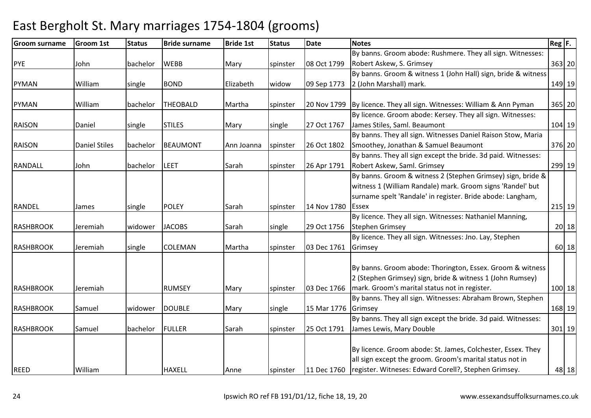#### Groom surnamee Groom 1st Status Bride surname Bride 1st Status Date Notes Reg F. Reg F. PYE John bachelor WEBB Mary spinster 08 Oct 1799By banns. Groom abode: Rushmere. They all sign. Witnesses: Robert Askew, S. Grimsey <sup>363</sup> <sup>20</sup>PYMAN William single BOND Elizabeth widow 09 Sep 1773By banns. Groom & witness 1 (John Hall) sign, bride & witness 2 (John Marshall) mark. 149 19PYMAN William bachelor THEOBALD Martha spinster 20 Nov 179920 Nov 1799  $\vert$ By licence. They all sign. Witnesses: William & Ann Pyman  $\vert$  365 20 RAISON Daniel single STILES Mary single 27 Oct 1767By licence. Groom abode: Kersey. They all sign. Witnesses: James Stiles, Saml. Beaumont <sup>104</sup> <sup>19</sup>RAISON **Daniel Stiles** bachelor BEAUMONT Ann Joanna spinster 26 Oct 1802 By banns. They all sign. Witnesses Daniel Raison Stow, Maria Smoothey, Jonathan & Samuel Beaumont <sup>376</sup> <sup>20</sup>RANDALL John bachelor LEET Sarah spinster 26 Apr 1791 By banns. They all sign except the bride. 3d paid. Witnesses: Robert Askew, Saml. Grimsey <sup>299</sup> <sup>19</sup>RANDEL James single POLEY Sarah spinster 14 Nov 1780By banns. Groom & witness 2 (Stephen Grimsey) sign, bride & witness 1 (William Randale) mark. Groom signs 'Randel' but surname spelt 'Randale' in register. Bride abode: Langham, **LEssex** x 215 19 RASHBROOK | Jeremiah | widower | JACOBS | Sarah | single | 29 Oct 1756 By licence. They all sign. Witnesses: Nathaniel Manning, Stephen Grimseyy 20 18 RASHBROOK |Jeremiah |single |COLEMAN |Martha |spinster |03 Dec 1761 By licence. They all sign. Witnesses: Jno. Lay, Stephen Grimseyy 60 18 RASHBROOK JJeremiah | RUMSEY |Mary |spinster |03 Dec 1766 By banns. Groom abode: Thorington, Essex. Groom & witness 2 (Stephen Grimsey) sign, bride & witness 1 (John Rumsey) mark. Groom's marital status not in register. 100 18RASHBROOK Samuel widower DOUBLE Mary single 15 Mar 1776GrimseyBy banns. They all sign. Witnesses: Abraham Brown, Stephen y 168 19 RASHBROOK Samuel bachelor FULLER Sarah Spinster 25 Oct 1791 By banns. They all sign except the bride. 3d paid. Witnesses: James Lewis, Mary Double <sup>301</sup> <sup>19</sup>REED William HAXELL Anne spinster 11 Dec 1760By licence. Groom abode: St. James, Colchester, Essex. They all sign except the groom. Groom's marital status not in register. Witneses: Edward Corell?, Stephen Grimsey.48 18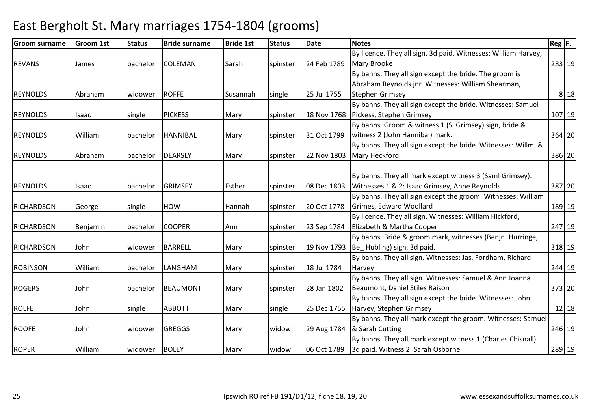#### Groom surnamee Groom 1st Status Bride surname Bride 1st Status Date Notes Reg F. Reg F. REVANS James bachelor COLEMAN Sarah spinster 24 Feb 1789By licence. They all sign. 3d paid. Witnesses: William Harvey, Mary Brooke <sup>283</sup> <sup>19</sup>REYNOLDS Abraham widower ROFFE Susannah single 25 Jul 1755By banns. They all sign except the bride. The groom is Abraham Reynolds jnr. Witnesses: William Shearman, Stephen Grimseyy 8 18 REYNOLDS Isaac single PICKESS Mary spinster 18 Nov 1768By banns. They all sign except the bride. Witnesses: Samuel Pickess, Stephen Grimsey <sup>107</sup> <sup>19</sup>REYNOLDS William bachelor HANNIBAL Mary spinster 31 Oct 1799By banns. Groom & witness 1 (S. Grimsey) sign, bride & witness 2 (John Hannibal) mark. 364 20REYNOLDS Abraham bachelor DEARSLY Mary spinster 22 Nov 1803 By banns. They all sign except the bride. Witnesses: Willm. & Mary Heckfordd 386 20 REYNOLDS Isaac bachelor GRIMSEY Esther spinster 08 Dec 1803By banns. They all mark except witness 3 (Saml Grimsey). Witnesses 1 & 2: Isaac Grimsey, Anne Reynolds <sup>387</sup> <sup>20</sup>RICHARDSON George Single HOW Hannah Spinster 20 Oct 1778 By banns. They all sign except the groom. Witnesses: William Grimes, Edward Woollard <sup>189</sup> <sup>19</sup>RICHARDSON Benjamin bachelor COOPER Ann spinster 23 Sep 1784 By licence. They all sign. Witnesses: William Hickford. Elizabeth & Martha Cooper <sup>247</sup> <sup>19</sup>RICHARDSON JJohn Widower BARRELL Mary Spinster 19 Nov 1793 By banns. Bride & groom mark, witnesses (Benjn. Hurringe, Be Hubling) sign. 3d paid. 318 19ROBINSON William bachelor LANGHAM Mary spinster 18 Jul 1784By banns. They all sign. Witnesses: Jas. Fordham, Richard Harveyy 244 19 ROGERS John bachelor BEAUMONT Mary spinster 28 Jan 1802By banns. They all sign. Witnesses: Samuel & Ann Joanna Beaumont, Daniel Stiles Raison <sup>373</sup> <sup>20</sup>ROLFE JJohn Single ABBOTT Mary Single 25 Dec 1755 By banns. They all sign except the bride. Witnesses: John Harvey, Stephen Grimseyy 12|18 ROOFE John widower GREGGS Mary widow 29 Aug 1784& Sarah CuttingBy banns. They all mark except the groom. Witnesses: Samuel g 246 19 ROPER William widower BOLEY Mary widow 06 Oct 1789By banns. They all mark except witness 1 (Charles Chisnall). 3d paid. Witness 2: Sarah Osborne<sup>289</sup> <sup>19</sup>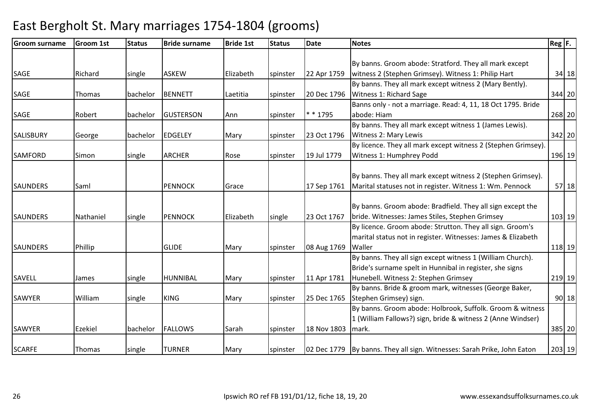| <b>Groom surname</b> | <b>Groom 1st</b> | <b>Status</b> | <b>Bride surname</b> | <b>Bride 1st</b> | <b>Status</b> | <b>Date</b> | <b>Notes</b>                                                            | $Reg$ $F.$ |
|----------------------|------------------|---------------|----------------------|------------------|---------------|-------------|-------------------------------------------------------------------------|------------|
|                      |                  |               |                      |                  |               |             |                                                                         |            |
|                      |                  |               |                      |                  |               |             | By banns. Groom abode: Stratford. They all mark except                  |            |
| <b>SAGE</b>          | Richard          | single        | <b>ASKEW</b>         | Elizabeth        | spinster      | 22 Apr 1759 | witness 2 (Stephen Grimsey). Witness 1: Philip Hart                     | $34$ 18    |
|                      |                  |               |                      |                  |               |             | By banns. They all mark except witness 2 (Mary Bently).                 |            |
| <b>SAGE</b>          | Thomas           | bachelor      | <b>BENNETT</b>       | Laetitia         | spinster      | 20 Dec 1796 | Witness 1: Richard Sage                                                 | 344 20     |
|                      |                  |               |                      |                  |               |             | Banns only - not a marriage. Read: 4, 11, 18 Oct 1795. Bride            |            |
| <b>SAGE</b>          | Robert           | bachelor      | <b>GUSTERSON</b>     | Ann              | spinster      | * * 1795    | abode: Hiam                                                             | 268 20     |
|                      |                  |               |                      |                  |               |             | By banns. They all mark except witness 1 (James Lewis).                 |            |
| <b>SALISBURY</b>     | George           | bachelor      | <b>EDGELEY</b>       | Mary             | spinster      | 23 Oct 1796 | Witness 2: Mary Lewis                                                   | 342 20     |
|                      |                  |               |                      |                  |               |             | By licence. They all mark except witness 2 (Stephen Grimsey).           |            |
| <b>SAMFORD</b>       | Simon            | single        | <b>ARCHER</b>        | Rose             | spinster      | 19 Jul 1779 | Witness 1: Humphrey Podd                                                | 196 19     |
|                      |                  |               |                      |                  |               |             |                                                                         |            |
|                      |                  |               |                      |                  |               |             | By banns. They all mark except witness 2 (Stephen Grimsey).             |            |
| <b>SAUNDERS</b>      | Saml             |               | <b>PENNOCK</b>       | Grace            |               | 17 Sep 1761 | Marital statuses not in register. Witness 1: Wm. Pennock                | $57$ 18    |
|                      |                  |               |                      |                  |               |             |                                                                         |            |
|                      |                  |               |                      |                  |               |             | By banns. Groom abode: Bradfield. They all sign except the              |            |
| <b>SAUNDERS</b>      | Nathaniel        | single        | <b>PENNOCK</b>       | Elizabeth        | single        | 23 Oct 1767 | bride. Witnesses: James Stiles, Stephen Grimsey                         | 103 19     |
|                      |                  |               |                      |                  |               |             | By licence. Groom abode: Strutton. They all sign. Groom's               |            |
|                      |                  |               |                      |                  |               |             | marital status not in register. Witnesses: James & Elizabeth            |            |
| <b>SAUNDERS</b>      | Phillip          |               | <b>GLIDE</b>         | Mary             | spinster      | 08 Aug 1769 | Waller                                                                  | 118 19     |
|                      |                  |               |                      |                  |               |             | By banns. They all sign except witness 1 (William Church).              |            |
|                      |                  |               |                      |                  |               |             | Bride's surname spelt in Hunnibal in register, she signs                |            |
| <b>SAVELL</b>        | James            | single        | HUNNIBAL             | Mary             | spinster      | 11 Apr 1781 | Hunebell. Witness 2: Stephen Grimsey                                    | 219 19     |
|                      |                  |               |                      |                  |               |             | By banns. Bride & groom mark, witnesses (George Baker,                  |            |
| SAWYER               | William          | single        | <b>KING</b>          | Mary             | spinster      | 25 Dec 1765 | Stephen Grimsey) sign.                                                  | 90 18      |
|                      |                  |               |                      |                  |               |             | By banns. Groom abode: Holbrook, Suffolk. Groom & witness               |            |
|                      |                  |               |                      |                  |               |             | 1 (William Fallows?) sign, bride & witness 2 (Anne Windser)             |            |
| SAWYER               | <b>Ezekiel</b>   | bachelor      | <b>FALLOWS</b>       | Sarah            | spinster      | 18 Nov 1803 | mark.                                                                   | 385 20     |
|                      |                  |               |                      |                  |               |             |                                                                         |            |
| <b>SCARFE</b>        | Thomas           | single        | <b>TURNER</b>        | Mary             | spinster      |             | 02 Dec 1779 By banns. They all sign. Witnesses: Sarah Prike, John Eaton | 203 19     |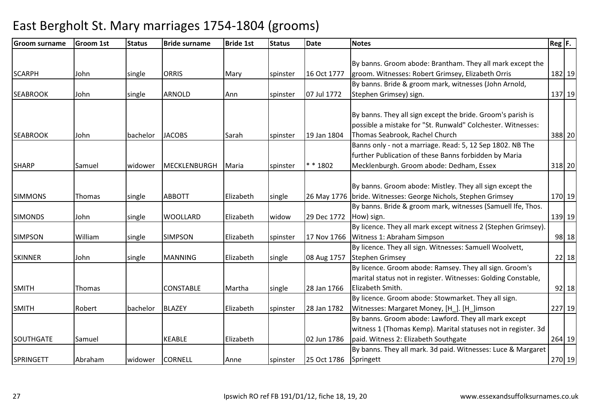| Groom surname    | <b>Groom 1st</b> | <b>Status</b> | <b>Bride surname</b> | <b>Bride 1st</b> | <b>Status</b> | <b>Date</b> | <b>Notes</b>                                                    | $\text{Reg}$ $\vert$ F. |
|------------------|------------------|---------------|----------------------|------------------|---------------|-------------|-----------------------------------------------------------------|-------------------------|
|                  |                  |               |                      |                  |               |             |                                                                 |                         |
|                  |                  |               |                      |                  |               |             | By banns. Groom abode: Brantham. They all mark except the       |                         |
| <b>SCARPH</b>    | John             | single        | <b>ORRIS</b>         | Mary             | spinster      | 16 Oct 1777 | groom. Witnesses: Robert Grimsey, Elizabeth Orris               | 182 19                  |
|                  |                  |               |                      |                  |               |             | By banns. Bride & groom mark, witnesses (John Arnold,           |                         |
| <b>SEABROOK</b>  | John             | single        | <b>ARNOLD</b>        | Ann              | spinster      | 07 Jul 1772 | Stephen Grimsey) sign.                                          | 137 19                  |
|                  |                  |               |                      |                  |               |             |                                                                 |                         |
|                  |                  |               |                      |                  |               |             | By banns. They all sign except the bride. Groom's parish is     |                         |
|                  |                  |               |                      |                  |               |             | possible a mistake for "St. Runwald" Colchester. Witnesses:     |                         |
| <b>SEABROOK</b>  | John             | bachelor      | <b>JACOBS</b>        | Sarah            | spinster      | 19 Jan 1804 | Thomas Seabrook, Rachel Church                                  | 388 20                  |
|                  |                  |               |                      |                  |               |             | Banns only - not a marriage. Read: 5, 12 Sep 1802. NB The       |                         |
|                  |                  |               |                      |                  |               |             | further Publication of these Banns forbidden by Maria           |                         |
| <b>SHARP</b>     | Samuel           | widower       | MECKLENBURGH         | Maria            | spinster      | $* * 1802$  | Mecklenburgh. Groom abode: Dedham, Essex                        | 318 20                  |
|                  |                  |               |                      |                  |               |             |                                                                 |                         |
|                  |                  |               |                      |                  |               |             | By banns. Groom abode: Mistley. They all sign except the        |                         |
| <b>SIMMONS</b>   | Thomas           | single        | <b>ABBOTT</b>        | Elizabeth        | single        |             | 26 May 1776   bride. Witnesses: George Nichols, Stephen Grimsey | 170 19                  |
|                  |                  |               |                      |                  |               |             | By banns. Bride & groom mark, witnesses (Samuell Ife, Thos.     |                         |
| <b>SIMONDS</b>   | John             | single        | <b>WOOLLARD</b>      | Elizabeth        | widow         | 29 Dec 1772 | How) sign.                                                      | 139 19                  |
|                  |                  |               |                      |                  |               |             | By licence. They all mark except witness 2 (Stephen Grimsey).   |                         |
| <b>SIMPSON</b>   | William          | single        | <b>SIMPSON</b>       | Elizabeth        | spinster      |             | 17 Nov 1766 Witness 1: Abraham Simpson                          | 98 18                   |
|                  |                  |               |                      |                  |               |             | By licence. They all sign. Witnesses: Samuell Woolvett,         |                         |
| <b>SKINNER</b>   | John             | single        | <b>MANNING</b>       | Elizabeth        | single        | 08 Aug 1757 | Stephen Grimsey                                                 | 22 18                   |
|                  |                  |               |                      |                  |               |             | By licence. Groom abode: Ramsey. They all sign. Groom's         |                         |
|                  |                  |               |                      |                  |               |             | marital status not in register. Witnesses: Golding Constable,   |                         |
| <b>SMITH</b>     | Thomas           |               | <b>CONSTABLE</b>     | Martha           | single        | 28 Jan 1766 | Elizabeth Smith.                                                | $92$   18               |
|                  |                  |               |                      |                  |               |             | By licence. Groom abode: Stowmarket. They all sign.             |                         |
| <b>SMITH</b>     | Robert           | bachelor      | <b>BLAZEY</b>        | Elizabeth        | spinster      | 28 Jan 1782 | Witnesses: Margaret Money, [H_]. [H_]imson                      | 227 19                  |
|                  |                  |               |                      |                  |               |             | By banns. Groom abode: Lawford. They all mark except            |                         |
|                  |                  |               |                      |                  |               |             | witness 1 (Thomas Kemp). Marital statuses not in register. 3d   |                         |
| SOUTHGATE        | Samuel           |               | <b>KEABLE</b>        | Elizabeth        |               | 02 Jun 1786 | paid. Witness 2: Elizabeth Southgate                            | 264 19                  |
|                  |                  |               |                      |                  |               |             | By banns. They all mark. 3d paid. Witnesses: Luce & Margaret    |                         |
| <b>SPRINGETT</b> | Abraham          | widower       | <b>CORNELL</b>       | Anne             | spinster      | 25 Oct 1786 | Springett                                                       | 270 19                  |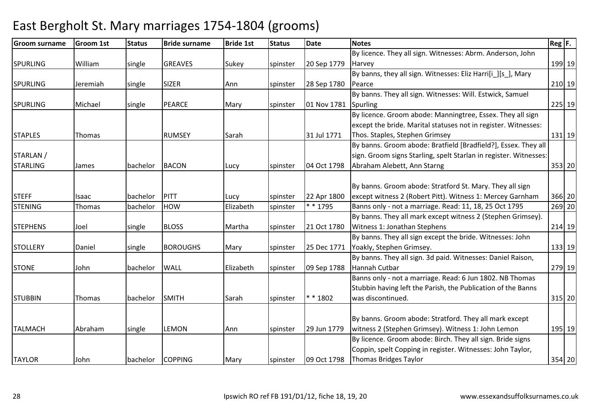| <b>Groom surname</b> | <b>Groom 1st</b> | <b>Status</b> | <b>Bride surname</b> | <b>Bride 1st</b> | <b>Status</b> | <b>Date</b> | <b>Notes</b>                                                      | $Reg$ $F.$ |        |
|----------------------|------------------|---------------|----------------------|------------------|---------------|-------------|-------------------------------------------------------------------|------------|--------|
|                      |                  |               |                      |                  |               |             | By licence. They all sign. Witnesses: Abrm. Anderson, John        |            |        |
| <b>SPURLING</b>      | William          | single        | <b>GREAVES</b>       | Sukey            | spinster      | 20 Sep 1779 | Harvey                                                            |            | 199 19 |
|                      |                  |               |                      |                  |               |             | By banns, they all sign. Witnesses: Eliz Harri[i_][s], Mary       |            |        |
| <b>SPURLING</b>      | Jeremiah         | single        | <b>SIZER</b>         | Ann              | spinster      | 28 Sep 1780 | Pearce                                                            | $210$ 19   |        |
|                      |                  |               |                      |                  |               |             | By banns. They all sign. Witnesses: Will. Estwick, Samuel         |            |        |
| <b>SPURLING</b>      | Michael          | single        | <b>PEARCE</b>        | Mary             | spinster      | 01 Nov 1781 | Spurling                                                          |            | 225 19 |
|                      |                  |               |                      |                  |               |             | By licence. Groom abode: Manningtree, Essex. They all sign        |            |        |
|                      |                  |               |                      |                  |               |             | except the bride. Marital statuses not in register. Witnesses:    |            |        |
| <b>STAPLES</b>       | Thomas           |               | <b>RUMSEY</b>        | Sarah            |               | 31 Jul 1771 | Thos. Staples, Stephen Grimsey                                    |            | 131 19 |
|                      |                  |               |                      |                  |               |             | By banns. Groom abode: Bratfield [Bradfield?], Essex. They all    |            |        |
| STARLAN /            |                  |               |                      |                  |               |             | sign. Groom signs Starling, spelt Starlan in register. Witnesses: |            |        |
| <b>STARLING</b>      | James            | bachelor      | <b>BACON</b>         | Lucy             | spinster      | 04 Oct 1798 | Abraham Alebett, Ann Starng                                       |            | 353 20 |
|                      |                  |               |                      |                  |               |             |                                                                   |            |        |
|                      |                  |               |                      |                  |               |             | By banns. Groom abode: Stratford St. Mary. They all sign          |            |        |
| <b>STEFF</b>         | Isaac            | bachelor      | PITT                 | Lucy             | spinster      | 22 Apr 1800 | except witness 2 (Robert Pitt). Witness 1: Mercey Garnham         |            | 366 20 |
| <b>STENING</b>       | Thomas           | bachelor      | <b>HOW</b>           | Elizabeth        | spinster      | * * 1795    | Banns only - not a marriage. Read: 11, 18, 25 Oct 1795            |            | 269 20 |
|                      |                  |               |                      |                  |               |             | By banns. They all mark except witness 2 (Stephen Grimsey).       |            |        |
| <b>STEPHENS</b>      | Joel             | single        | <b>BLOSS</b>         | Martha           | spinster      | 21 Oct 1780 | Witness 1: Jonathan Stephens                                      |            | 214 19 |
|                      |                  |               |                      |                  |               |             | By banns. They all sign except the bride. Witnesses: John         |            |        |
| <b>STOLLERY</b>      | Daniel           | single        | <b>BOROUGHS</b>      | Mary             | spinster      | 25 Dec 1771 | Yoakly, Stephen Grimsey.                                          |            | 133 19 |
|                      |                  |               |                      |                  |               |             | By banns. They all sign. 3d paid. Witnesses: Daniel Raison,       |            |        |
| <b>STONE</b>         | John             | bachelor      | <b>WALL</b>          | Elizabeth        | spinster      | 09 Sep 1788 | Hannah Cutbar                                                     | 279 19     |        |
|                      |                  |               |                      |                  |               |             | Banns only - not a marriage. Read: 6 Jun 1802. NB Thomas          |            |        |
|                      |                  |               |                      |                  |               |             | Stubbin having left the Parish, the Publication of the Banns      |            |        |
| <b>STUBBIN</b>       | Thomas           | bachelor      | <b>SMITH</b>         | Sarah            | spinster      | * * 1802    | was discontinued.                                                 |            | 315 20 |
|                      |                  |               |                      |                  |               |             |                                                                   |            |        |
|                      |                  |               |                      |                  |               |             | By banns. Groom abode: Stratford. They all mark except            |            |        |
| <b>TALMACH</b>       | Abraham          | single        | <b>LEMON</b>         | Ann              | spinster      | 29 Jun 1779 | witness 2 (Stephen Grimsey). Witness 1: John Lemon                |            | 195 19 |
|                      |                  |               |                      |                  |               |             | By licence. Groom abode: Birch. They all sign. Bride signs        |            |        |
|                      |                  |               |                      |                  |               |             | Coppin, spelt Copping in register. Witnesses: John Taylor,        |            |        |
| <b>TAYLOR</b>        | John             | bachelor      | <b>COPPING</b>       | Mary             | spinster      | 09 Oct 1798 | Thomas Bridges Taylor                                             | 354 20     |        |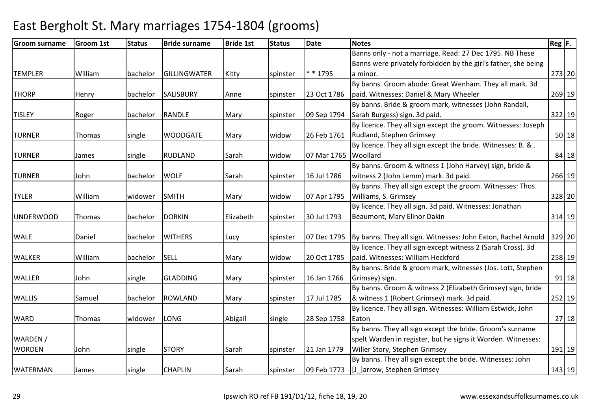| Groom surname    | <b>Groom 1st</b> | <b>Status</b> | <b>Bride surname</b> | <b>Bride 1st</b> | <b>Status</b> | <b>Date</b> | <b>Notes</b>                                                   | $\text{Reg}$ $\vert$ F. |
|------------------|------------------|---------------|----------------------|------------------|---------------|-------------|----------------------------------------------------------------|-------------------------|
|                  |                  |               |                      |                  |               |             | Banns only - not a marriage. Read: 27 Dec 1795. NB These       |                         |
|                  |                  |               |                      |                  |               |             | Banns were privately forbidden by the girl's father, she being |                         |
| <b>TEMPLER</b>   | William          | bachelor      | <b>GILLINGWATER</b>  | Kitty            | spinster      | * * 1795    | a minor.                                                       | 273 20                  |
|                  |                  |               |                      |                  |               |             | By banns. Groom abode: Great Wenham. They all mark. 3d         |                         |
| <b>THORP</b>     | Henry            | bachelor      | <b>SALISBURY</b>     | Anne             | spinster      | 23 Oct 1786 | paid. Witnesses: Daniel & Mary Wheeler                         | 269 19                  |
|                  |                  |               |                      |                  |               |             | By banns. Bride & groom mark, witnesses (John Randall,         |                         |
| <b>TISLEY</b>    | Roger            | bachelor      | RANDLE               | Mary             | spinster      | 09 Sep 1794 | Sarah Burgess) sign. 3d paid.                                  | 322 19                  |
|                  |                  |               |                      |                  |               |             | By licence. They all sign except the groom. Witnesses: Joseph  |                         |
| <b>TURNER</b>    | Thomas           | single        | <b>WOODGATE</b>      | Mary             | widow         | 26 Feb 1761 | Rudland, Stephen Grimsey                                       | $50$ 18                 |
|                  |                  |               |                      |                  |               |             | By licence. They all sign except the bride. Witnesses: B. &.   |                         |
| <b>TURNER</b>    | James            | single        | <b>RUDLAND</b>       | Sarah            | widow         | 07 Mar 1765 | Woollard                                                       | 84 18                   |
|                  |                  |               |                      |                  |               |             | By banns. Groom & witness 1 (John Harvey) sign, bride &        |                         |
| <b>TURNER</b>    | John             | bachelor      | <b>WOLF</b>          | Sarah            | spinster      | 16 Jul 1786 | witness 2 (John Lemm) mark. 3d paid.                           | 266 19                  |
|                  |                  |               |                      |                  |               |             | By banns. They all sign except the groom. Witnesses: Thos.     |                         |
| <b>TYLER</b>     | William          | widower       | <b>SMITH</b>         | Mary             | widow         | 07 Apr 1795 | Williams, S. Grimsey                                           | 328 20                  |
|                  |                  |               |                      |                  |               |             | By licence. They all sign. 3d paid. Witnesses: Jonathan        |                         |
| <b>UNDERWOOD</b> | Thomas           | bachelor      | <b>DORKIN</b>        | Elizabeth        | spinster      | 30 Jul 1793 | Beaumont, Mary Elinor Dakin                                    | 314 19                  |
|                  |                  |               |                      |                  |               |             |                                                                |                         |
| <b>WALE</b>      | Daniel           | bachelor      | <b>WITHERS</b>       | Lucy             | spinster      | 07 Dec 1795 | By banns. They all sign. Witnesses: John Eaton, Rachel Arnold  | 329 20                  |
|                  |                  |               |                      |                  |               |             | By licence. They all sign except witness 2 (Sarah Cross). 3d   |                         |
| <b>WALKER</b>    | William          | bachelor      | <b>SELL</b>          | Mary             | widow         | 20 Oct 1785 | paid. Witnesses: William Heckford                              | 258 19                  |
|                  |                  |               |                      |                  |               |             | By banns. Bride & groom mark, witnesses (Jos. Lott, Stephen    |                         |
| <b>WALLER</b>    | John             | single        | <b>GLADDING</b>      | Mary             | spinster      | 16 Jan 1766 | Grimsey) sign.                                                 | $91$ 18                 |
|                  |                  |               |                      |                  |               |             | By banns. Groom & witness 2 (Elizabeth Grimsey) sign, bride    |                         |
| <b>WALLIS</b>    | Samuel           | bachelor      | <b>ROWLAND</b>       | Mary             | spinster      | 17 Jul 1785 | & witness 1 (Robert Grimsey) mark. 3d paid.                    | 252 19                  |
|                  |                  |               |                      |                  |               |             | By licence. They all sign. Witnesses: William Estwick, John    |                         |
| <b>WARD</b>      | Thomas           | widower       | <b>LONG</b>          | Abigail          | single        | 28 Sep 1758 | Eaton                                                          | 27 18                   |
|                  |                  |               |                      |                  |               |             | By banns. They all sign except the bride. Groom's surname      |                         |
| WARDEN /         |                  |               |                      |                  |               |             | spelt Warden in register, but he signs it Worden. Witnesses:   |                         |
| <b>WORDEN</b>    | John             | single        | <b>STORY</b>         | Sarah            | spinster      | 21 Jan 1779 | Willer Story, Stephen Grimsey                                  | 191 19                  |
|                  |                  |               |                      |                  |               |             | By banns. They all sign except the bride. Witnesses: John      |                         |
| <b>WATERMAN</b>  | James            | single        | <b>CHAPLIN</b>       | Sarah            | spinster      | 09 Feb 1773 | [J_]arrow, Stephen Grimsey                                     | 143 19                  |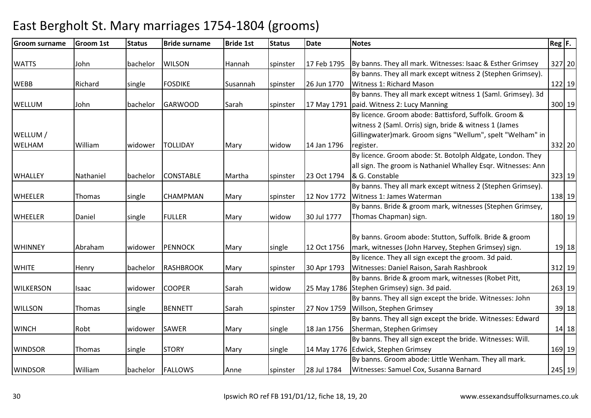#### Groom surnamee Groom 1st Status Bride surname Bride 1st Status Date Notes Reg F. Reg F. WATTS John bachelor WILSON Hannah spinster 17 Feb 179517 Feb 1795  $\vert$ By banns. They all mark. Witnesses: Isaac & Esther Grimsey  $\vert$  327 20 WEBB Richard single FOSDIKE Susannah spinster 26 Jun 1770 By banns. They all mark except witness 2 (Stephen Grimsey). Witness 1: Richard Mason <sup>122</sup> <sup>19</sup>WELLUM John bachelor GARWOOD Sarah spinster 17 May 1791paid. Witness 2: Lucy ManningBy banns. They all mark except witness 1 (Saml. Grimsey). 3d <sup>300</sup> <sup>19</sup>WELLUM / WELHAM William widower TOLLIDAY Mary widow 14 Jan 1796 By licence. Groom abode: Battisford, Suffolk. Groom & witness 2 (Saml. Orris) sign, bride & witness 1 (James Gillingwater)mark. Groom signs "Wellum", spelt "Welham" in register. 332 20WHALLEY Mathaniel bachelor CONSTABLE Martha Spinster 23 Oct 1794 By licence. Groom abode: St. Botolph Aldgate, London. They all sign. The groom is Nathaniel Whalley Esqr. Witnesses: Ann & G. Constable <sup>323</sup> <sup>19</sup>WHEELER Thomas Single CHAMPMAN Mary Spinster 12 Nov 1772 By banns. They all mark except witness 2 (Stephen Grimsey). Witness 1: James Waterman138 19 WHEELER Daniel single FULLER Mary widow 30 Jul 1777By banns. Bride & groom mark, witnesses (Stephen Grimsey, Thomas Chapman) sign. 180 19WHINNEY Abraham widower PENNOCK Mary single 12 Oct 1756By banns. Groom abode: Stutton, Suffolk. Bride & groom mark, witnesses (John Harvey, Stephen Grimsey) sign. 19 18WHITE **Henry** Bachelor RASHBROOK Mary spinster 30 Apr 1793 By licence. They all sign except the groom. 3d paid. Witnesses: Daniel Raison, Sarah Rashbrook <sup>312</sup> <sup>19</sup>WILKERSON |Isaac | widower | COOPER | Sarah | widow | 25 May 1786 | Stephen Grimsey) sign. 3d paid. By banns. Bride & groom mark, witnesses (Robet Pitt, 263 19WILLSON Thomas single BENNETT Sarah spinster 27 Nov 1759By banns. They all sign except the bride. Witnesses: John Willson, Stephen Grimseyy 39| 18 WINCH Robt Widower SAWER Mary Single 18 Jan 1756 By banns. They all sign except the bride. Witnesses: Edward Sherman, Stephen Grimseyy 14 18 WINDSOR Thomas single STORY Mary single 14 May 1776Edwick, Stephen GrimseyBy banns. They all sign except the bride. Witnesses: Will. y 169 19 WINDSOR William bachelor FALLOWS Anne spinster 28 Jul 1784By banns. Groom abode: Little Wenham. They all mark. Witnesses: Samuel Cox, Susanna Barnard<sup>245</sup> <sup>19</sup>